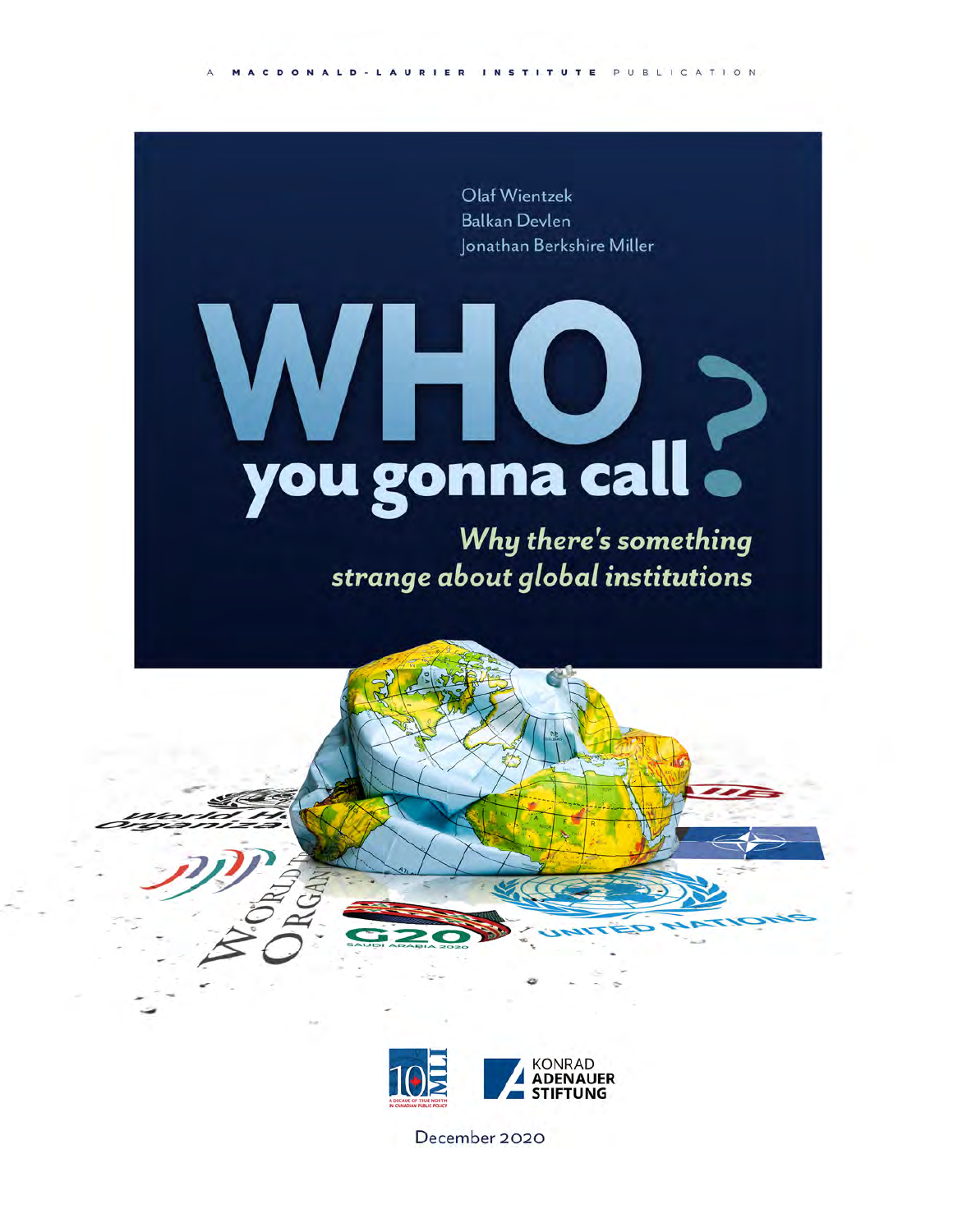ACDONALD-LAURIER INSTITUTE PUBLICATION

Olaf Wientzek **Balkan Devlen** Jonathan Berkshire Miller

# you gonna call .

Why there's something strange about global institutions





December 2020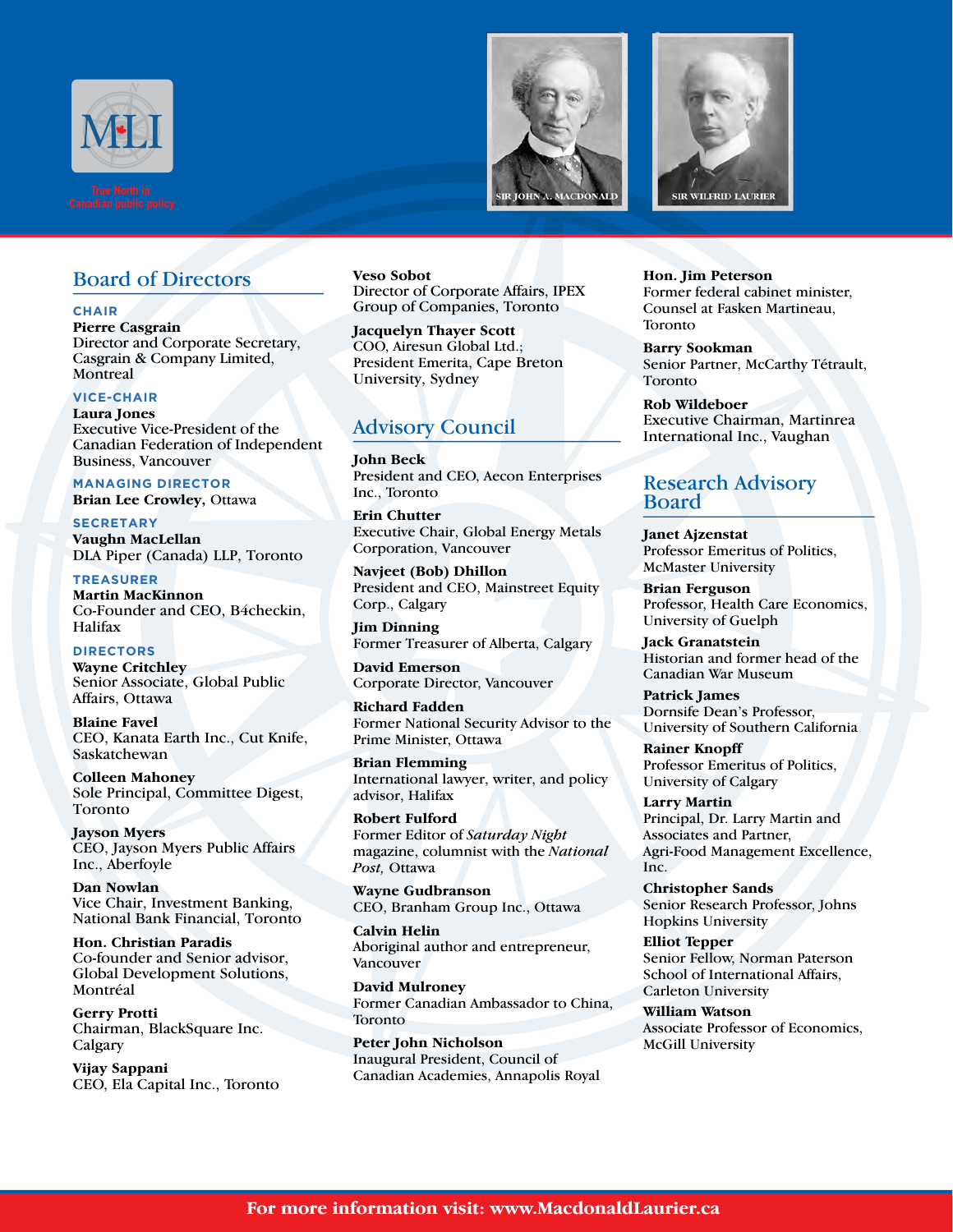





#### Board of Directors

**CHAIR Pierre Casgrain**  Director and Corporate Secretary, Casgrain & Company Limited, **Montreal** 

#### **VICE-CHAIR**

**Laura Jones**  Executive Vice-President of the Canadian Federation of Independent Business, Vancouver

**MANAGING DIRECTOR Brian Lee Crowley,** Ottawa

**SECRETARY Vaughn MacLellan**  DLA Piper (Canada) LLP, Toronto

**TREASURER Martin MacKinnon** Co-Founder and CEO, B4checkin, Halifax

**DIRECTORS Wayne Critchley** Senior Associate, Global Public Affairs, Ottawa

**Blaine Favel**  CEO, Kanata Earth Inc., Cut Knife, Saskatchewan

**Colleen Mahoney** Sole Principal, Committee Digest, Toronto

**Jayson Myers**  CEO, Jayson Myers Public Affairs Inc., Aberfoyle

**Dan Nowlan**  Vice Chair, Investment Banking, National Bank Financial, Toronto

**Hon. Christian Paradis** Co-founder and Senior advisor, Global Development Solutions, Montréal

**Gerry Protti** Chairman, BlackSquare Inc. Calgary

**Vijay Sappani**  CEO, Ela Capital Inc., Toronto **Veso Sobot** Director of Corporate Affairs, IPEX Group of Companies, Toronto

**Jacquelyn Thayer Scott**  COO, Airesun Global Ltd.; President Emerita, Cape Breton University, Sydney

#### Advisory Council

**John Beck**  President and CEO, Aecon Enterprises Inc., Toronto

**Erin Chutter**  Executive Chair, Global Energy Metals Corporation, Vancouver

**Navjeet (Bob) Dhillon**  President and CEO, Mainstreet Equity Corp., Calgary

**Jim Dinning**  Former Treasurer of Alberta, Calgary

**David Emerson**  Corporate Director, Vancouver

**Richard Fadden** Former National Security Advisor to the Prime Minister, Ottawa

**Brian Flemming**  International lawyer, writer, and policy advisor, Halifax

**Robert Fulford**  Former Editor of *Saturday Night* magazine, columnist with the *National Post,* Ottawa

**Wayne Gudbranson**  CEO, Branham Group Inc., Ottawa

**Calvin Helin**  Aboriginal author and entrepreneur, Vancouver

**David Mulroney** Former Canadian Ambassador to China, Toronto

**Peter John Nicholson**  Inaugural President, Council of Canadian Academies, Annapolis Royal

**Hon. Jim Peterson**  Former federal cabinet minister, Counsel at Fasken Martineau, Toronto

**Barry Sookman**  Senior Partner, McCarthy Tétrault, Toronto

**Rob Wildeboer** Executive Chairman, Martinrea International Inc., Vaughan

#### Research Advisory Board

**Janet Ajzenstat**  Professor Emeritus of Politics, McMaster University

**Brian Ferguson**  Professor, Health Care Economics, University of Guelph

**Jack Granatstein**  Historian and former head of the Canadian War Museum

**Patrick James**  Dornsife Dean's Professor, University of Southern California

**Rainer Knopff**  Professor Emeritus of Politics, University of Calgary

**Larry Martin**  Principal, Dr. Larry Martin and Associates and Partner, Agri-Food Management Excellence, Inc.

**Christopher Sands**  Senior Research Professor, Johns Hopkins University

**Elliot Tepper** Senior Fellow, Norman Paterson School of International Affairs, Carleton University

**William Watson**  Associate Professor of Economics, McGill University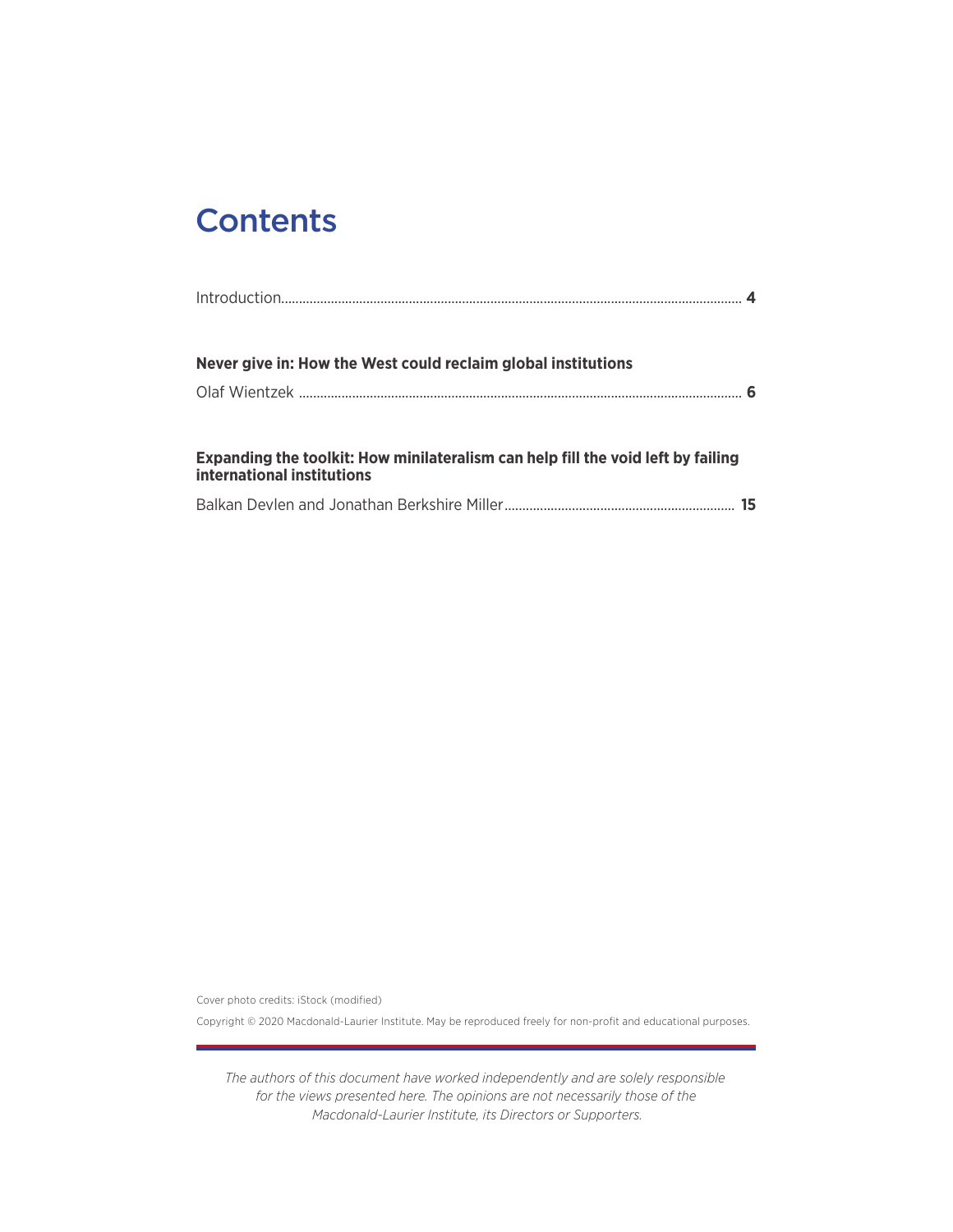# **Contents**

| Never give in: How the West could reclaim global institutions                                                  |    |
|----------------------------------------------------------------------------------------------------------------|----|
|                                                                                                                |    |
|                                                                                                                |    |
| Expanding the toolkit: How minilateralism can help fill the void left by failing<br>international institutions |    |
|                                                                                                                | 15 |

Cover photo credits: iStock (modified)

Copyright © 2020 Macdonald-Laurier Institute. May be reproduced freely for non-profit and educational purposes.

*The authors of this document have worked independently and are solely responsible for the views presented here. The opinions are not necessarily those of the Macdonald-Laurier Institute, its Directors or Supporters.*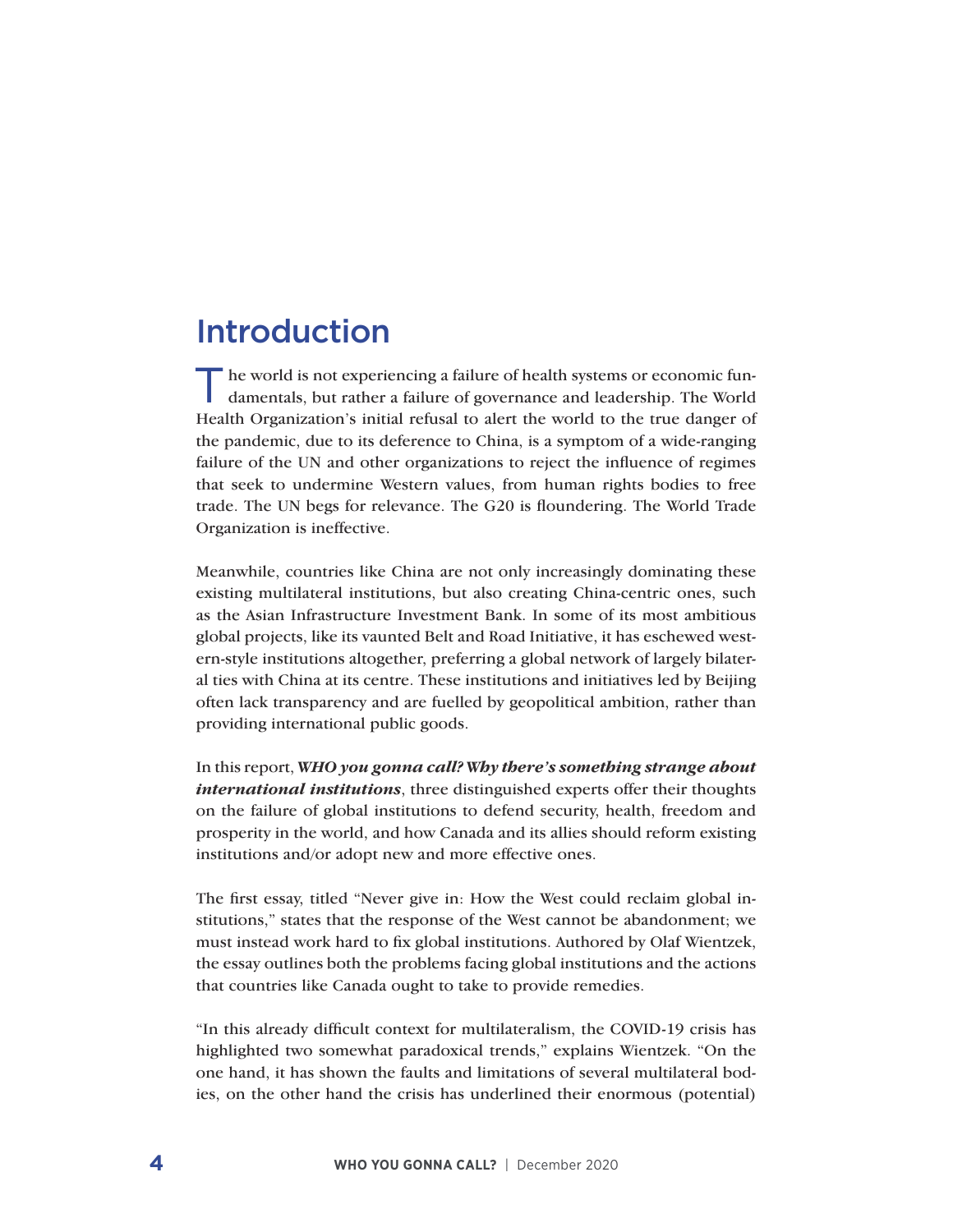## Introduction

The world is not experiencing a failure of health systems or economic fundamentals, but rather a failure of governance and leadership. The World Health Organization's initial refusal to alert the world to the true danger of the pandemic, due to its deference to China, is a symptom of a wide-ranging failure of the UN and other organizations to reject the influence of regimes that seek to undermine Western values, from human rights bodies to free trade. The UN begs for relevance. The G20 is floundering. The World Trade Organization is ineffective.

Meanwhile, countries like China are not only increasingly dominating these existing multilateral institutions, but also creating China-centric ones, such as the Asian Infrastructure Investment Bank. In some of its most ambitious global projects, like its vaunted Belt and Road Initiative, it has eschewed western-style institutions altogether, preferring a global network of largely bilateral ties with China at its centre. These institutions and initiatives led by Beijing often lack transparency and are fuelled by geopolitical ambition, rather than providing international public goods.

In this report, *WHO you gonna call? Why there's something strange about international institutions*, three distinguished experts offer their thoughts on the failure of global institutions to defend security, health, freedom and prosperity in the world, and how Canada and its allies should reform existing institutions and/or adopt new and more effective ones.

The first essay, titled "Never give in: How the West could reclaim global institutions," states that the response of the West cannot be abandonment; we must instead work hard to fix global institutions. Authored by Olaf Wientzek, the essay outlines both the problems facing global institutions and the actions that countries like Canada ought to take to provide remedies.

"In this already difficult context for multilateralism, the COVID-19 crisis has highlighted two somewhat paradoxical trends," explains Wientzek. "On the one hand, it has shown the faults and limitations of several multilateral bodies, on the other hand the crisis has underlined their enormous (potential)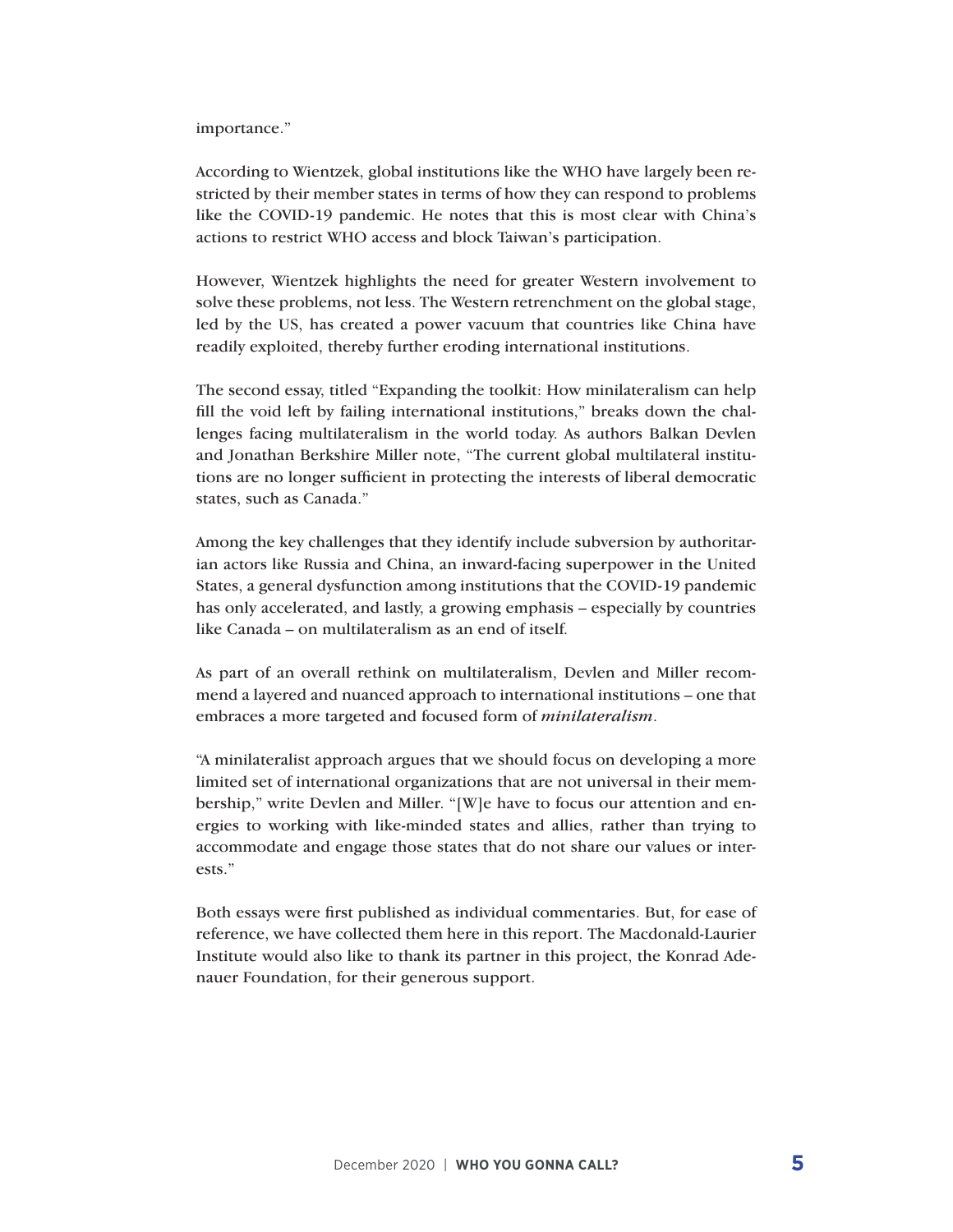#### importance."

According to Wientzek, global institutions like the WHO have largely been restricted by their member states in terms of how they can respond to problems like the COVID-19 pandemic. He notes that this is most clear with China's actions to restrict WHO access and block Taiwan's participation.

However, Wientzek highlights the need for greater Western involvement to solve these problems, not less. The Western retrenchment on the global stage, led by the US, has created a power vacuum that countries like China have readily exploited, thereby further eroding international institutions.

The second essay, titled "Expanding the toolkit: How minilateralism can help fill the void left by failing international institutions," breaks down the challenges facing multilateralism in the world today. As authors Balkan Devlen and Jonathan Berkshire Miller note, "The current global multilateral institutions are no longer sufficient in protecting the interests of liberal democratic states, such as Canada."

Among the key challenges that they identify include subversion by authoritarian actors like Russia and China, an inward-facing superpower in the United States, a general dysfunction among institutions that the COVID-19 pandemic has only accelerated, and lastly, a growing emphasis – especially by countries like Canada – on multilateralism as an end of itself.

As part of an overall rethink on multilateralism, Devlen and Miller recommend a layered and nuanced approach to international institutions – one that embraces a more targeted and focused form of *minilateralism*.

"A minilateralist approach argues that we should focus on developing a more limited set of international organizations that are not universal in their membership," write Devlen and Miller. "[W]e have to focus our attention and energies to working with like-minded states and allies, rather than trying to accommodate and engage those states that do not share our values or interests."

Both essays were first published as individual commentaries. But, for ease of reference, we have collected them here in this report. The Macdonald-Laurier Institute would also like to thank its partner in this project, the Konrad Adenauer Foundation, for their generous support.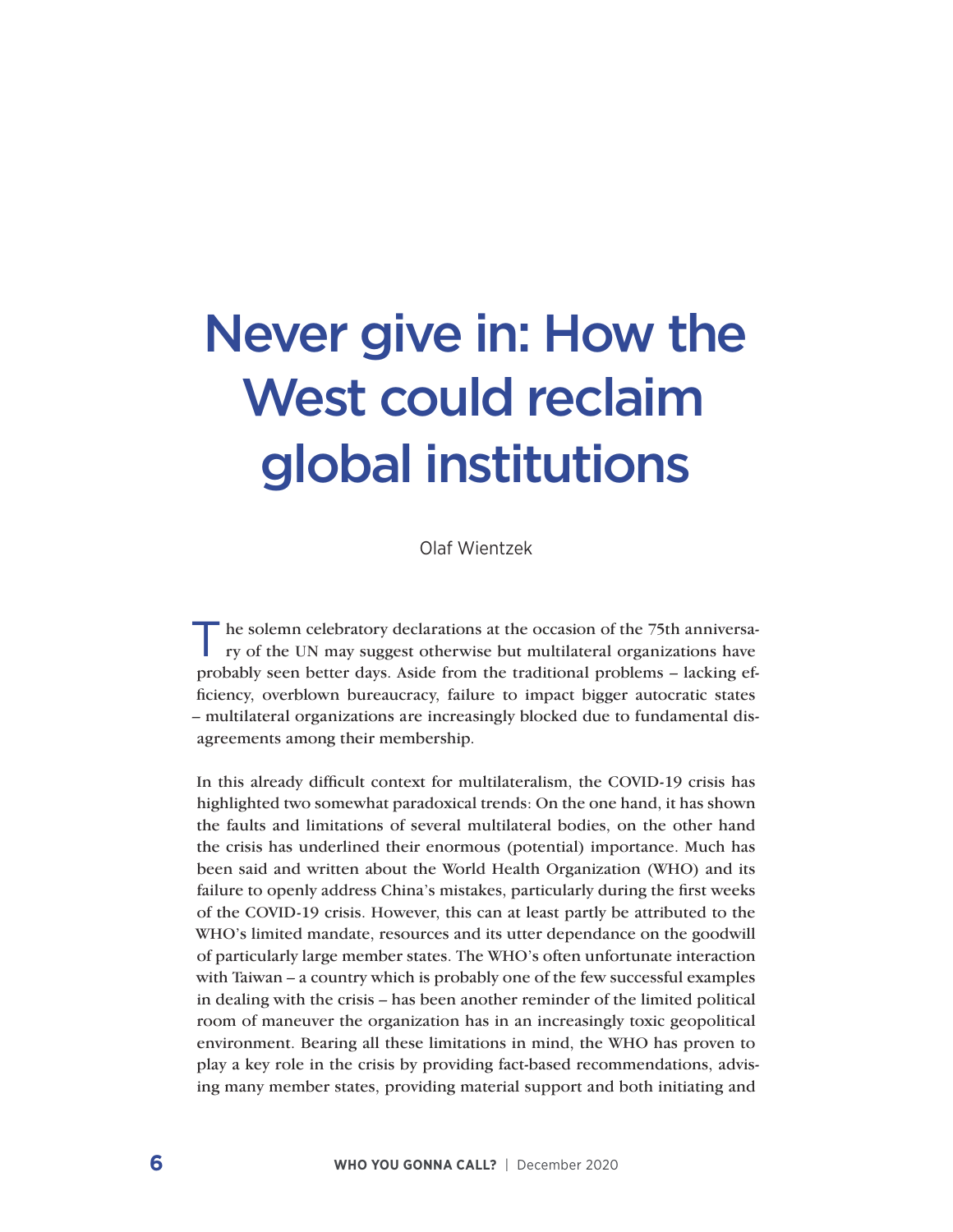# Never give in: How the West could reclaim global institutions

Olaf Wientzek

the solemn celebratory declarations at the occasion of the 75th anniversary of the UN may suggest otherwise but multilateral organizations have probably seen better days. Aside from the traditional problems – lacking efficiency, overblown bureaucracy, failure to impact bigger autocratic states – multilateral organizations are increasingly blocked due to fundamental disagreements among their membership.

In this already difficult context for multilateralism, the COVID-19 crisis has highlighted two somewhat paradoxical trends: On the one hand, it has shown the faults and limitations of several multilateral bodies, on the other hand the crisis has underlined their enormous (potential) importance. Much has been said and written about the World Health Organization (WHO) and its failure to openly address China's mistakes, particularly during the first weeks of the COVID-19 crisis. However, this can at least partly be attributed to the WHO's limited mandate, resources and its utter dependance on the goodwill of particularly large member states. The WHO's often unfortunate interaction with Taiwan – a country which is probably one of the few successful examples in dealing with the crisis – has been another reminder of the limited political room of maneuver the organization has in an increasingly toxic geopolitical environment. Bearing all these limitations in mind, the WHO has proven to play a key role in the crisis by providing fact-based recommendations, advising many member states, providing material support and both initiating and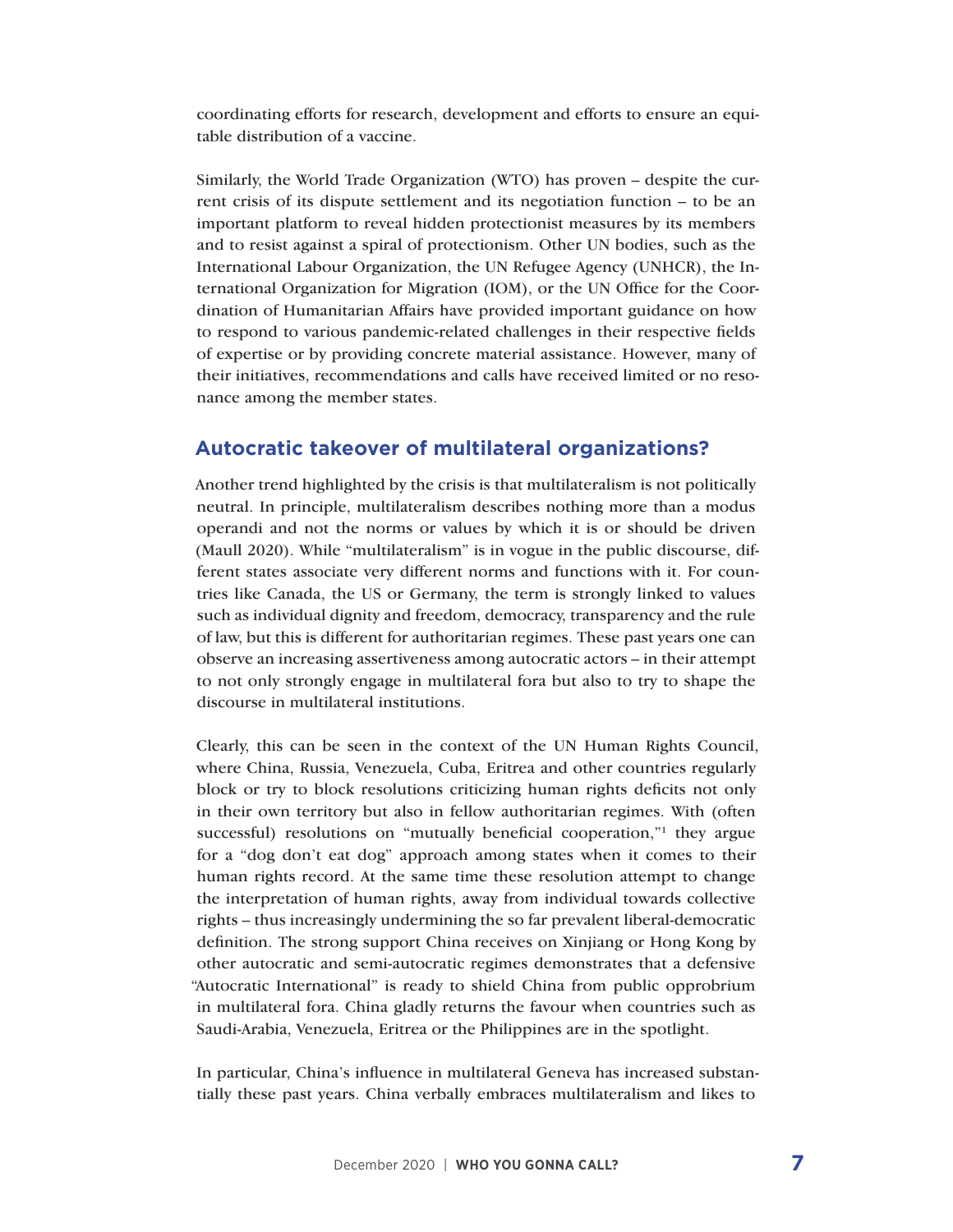coordinating efforts for research, development and efforts to ensure an equitable distribution of a vaccine.

Similarly, the World Trade Organization (WTO) has proven – despite the current crisis of its dispute settlement and its negotiation function – to be an important platform to reveal hidden protectionist measures by its members and to resist against a spiral of protectionism. Other UN bodies, such as the International Labour Organization, the UN Refugee Agency (UNHCR), the International Organization for Migration (IOM), or the UN Office for the Coordination of Humanitarian Affairs have provided important guidance on how to respond to various pandemic-related challenges in their respective fields of expertise or by providing concrete material assistance. However, many of their initiatives, recommendations and calls have received limited or no resonance among the member states.

#### **Autocratic takeover of multilateral organizations?**

Another trend highlighted by the crisis is that multilateralism is not politically neutral. In principle, multilateralism describes nothing more than a modus operandi and not the norms or values by which it is or should be driven (Maull 2020). While "multilateralism" is in vogue in the public discourse, different states associate very different norms and functions with it. For countries like Canada, the US or Germany, the term is strongly linked to values such as individual dignity and freedom, democracy, transparency and the rule of law, but this is different for authoritarian regimes. These past years one can observe an increasing assertiveness among autocratic actors – in their attempt to not only strongly engage in multilateral fora but also to try to shape the discourse in multilateral institutions.

Clearly, this can be seen in the context of the UN Human Rights Council, where China, Russia, Venezuela, Cuba, Eritrea and other countries regularly block or try to block resolutions criticizing human rights deficits not only in their own territory but also in fellow authoritarian regimes. With (often successful) resolutions on "mutually beneficial cooperation,"<sup>1</sup> they argue for a "dog don't eat dog" approach among states when it comes to their human rights record. At the same time these resolution attempt to change the interpretation of human rights, away from individual towards collective rights – thus increasingly undermining the so far prevalent liberal-democratic definition. The strong support China receives on Xinjiang or Hong Kong by other autocratic and semi-autocratic regimes demonstrates that a defensive "Autocratic International" is ready to shield China from public opprobrium in multilateral fora. China gladly returns the favour when countries such as Saudi-Arabia, Venezuela, Eritrea or the Philippines are in the spotlight.

In particular, China's influence in multilateral Geneva has increased substantially these past years. China verbally embraces multilateralism and likes to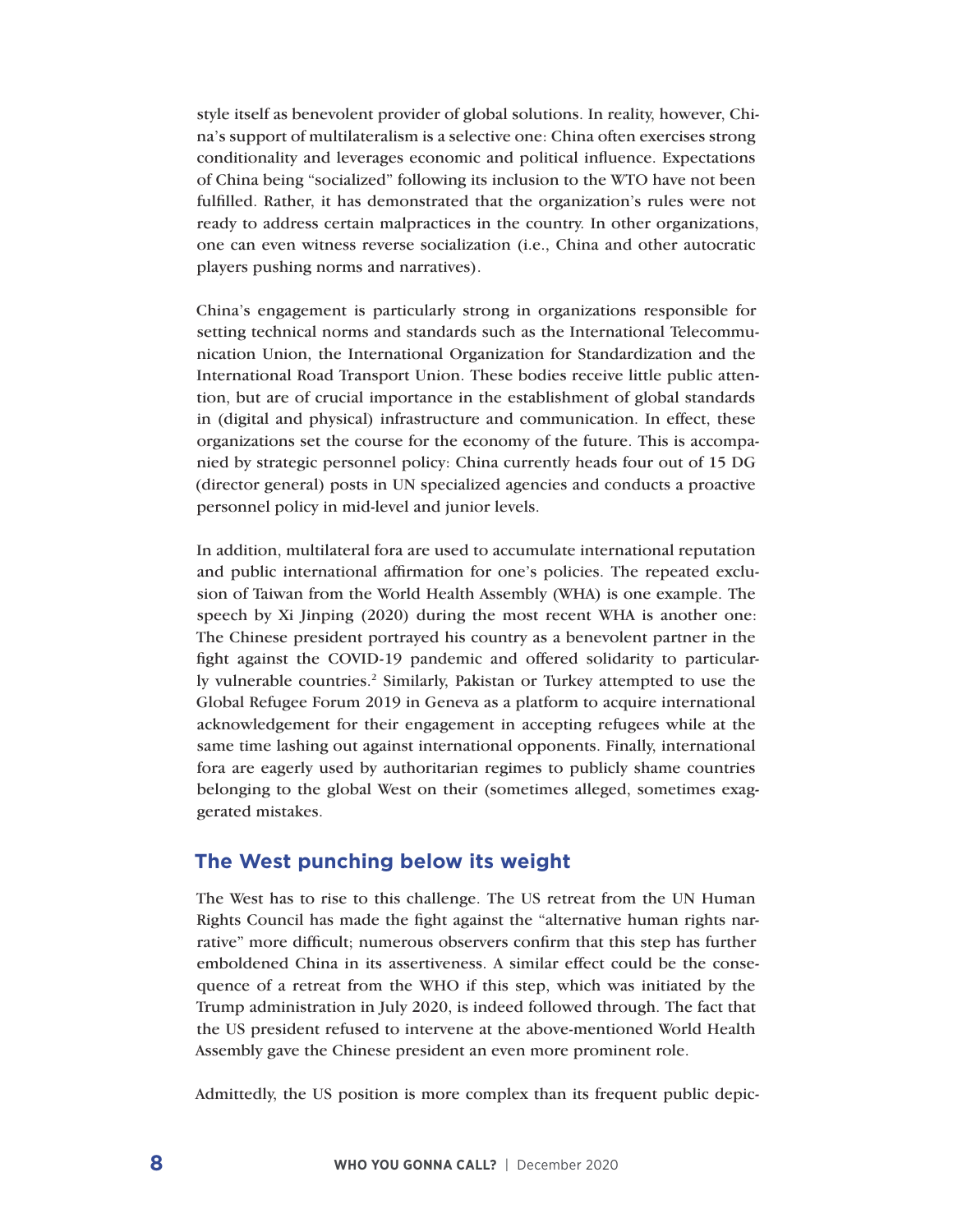style itself as benevolent provider of global solutions. In reality, however, China's support of multilateralism is a selective one: China often exercises strong conditionality and leverages economic and political influence. Expectations of China being "socialized" following its inclusion to the WTO have not been fulfilled. Rather, it has demonstrated that the organization's rules were not ready to address certain malpractices in the country. In other organizations, one can even witness reverse socialization (i.e., China and other autocratic players pushing norms and narratives).

China's engagement is particularly strong in organizations responsible for setting technical norms and standards such as the International Telecommunication Union, the International Organization for Standardization and the International Road Transport Union. These bodies receive little public attention, but are of crucial importance in the establishment of global standards in (digital and physical) infrastructure and communication. In effect, these organizations set the course for the economy of the future. This is accompanied by strategic personnel policy: China currently heads four out of 15 DG (director general) posts in UN specialized agencies and conducts a proactive personnel policy in mid-level and junior levels.

In addition, multilateral fora are used to accumulate international reputation and public international affirmation for one's policies. The repeated exclusion of Taiwan from the World Health Assembly (WHA) is one example. The speech by Xi Jinping (2020) during the most recent WHA is another one: The Chinese president portrayed his country as a benevolent partner in the fight against the COVID-19 pandemic and offered solidarity to particularly vulnerable countries.<sup>2</sup> Similarly, Pakistan or Turkey attempted to use the Global Refugee Forum 2019 in Geneva as a platform to acquire international acknowledgement for their engagement in accepting refugees while at the same time lashing out against international opponents. Finally, international fora are eagerly used by authoritarian regimes to publicly shame countries belonging to the global West on their (sometimes alleged, sometimes exaggerated mistakes.

#### **The West punching below its weight**

The West has to rise to this challenge. The US retreat from the UN Human Rights Council has made the fight against the "alternative human rights narrative" more difficult; numerous observers confirm that this step has further emboldened China in its assertiveness. A similar effect could be the consequence of a retreat from the WHO if this step, which was initiated by the Trump administration in July 2020, is indeed followed through. The fact that the US president refused to intervene at the above-mentioned World Health Assembly gave the Chinese president an even more prominent role.

Admittedly, the US position is more complex than its frequent public depic-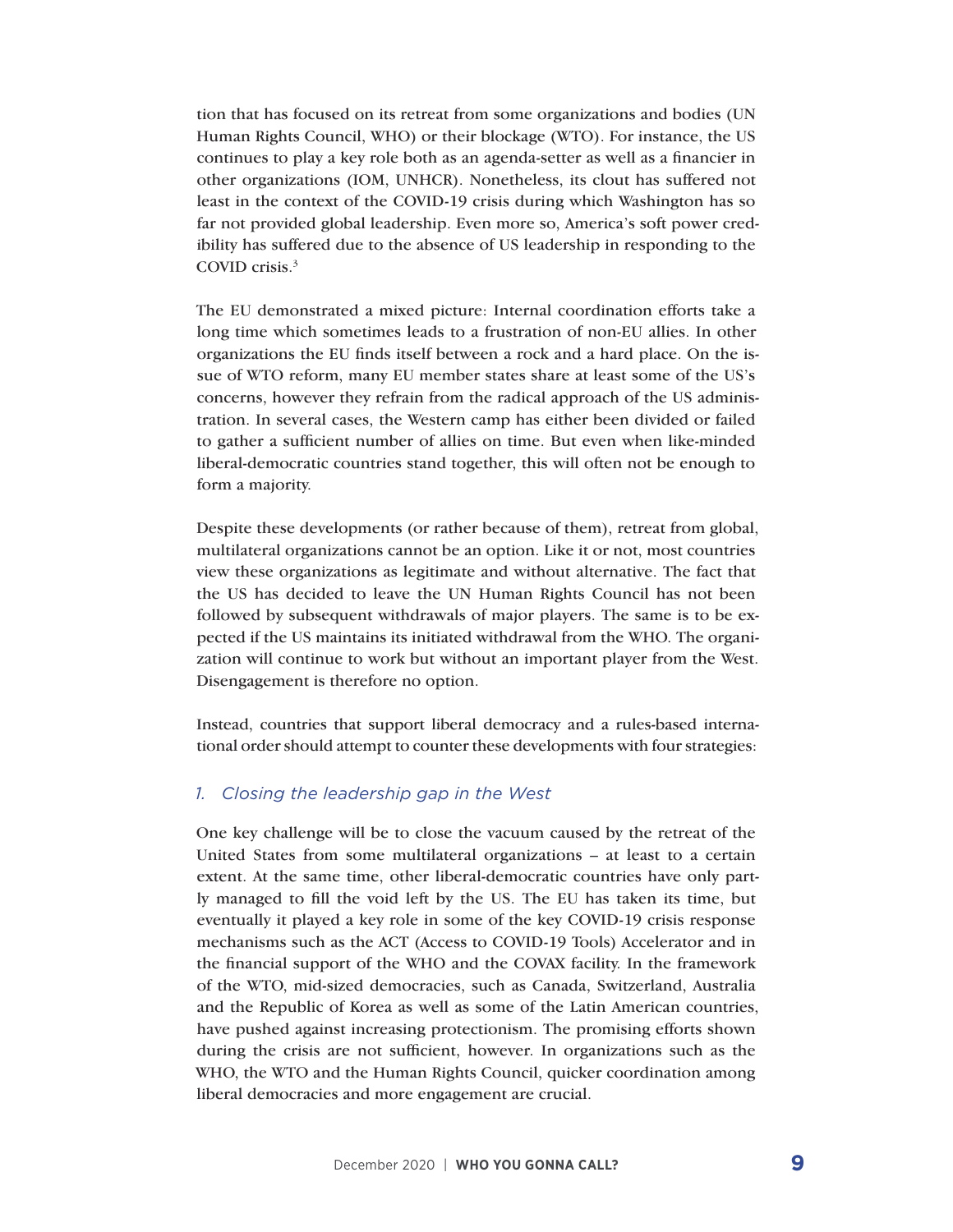tion that has focused on its retreat from some organizations and bodies (UN Human Rights Council, WHO) or their blockage (WTO). For instance, the US continues to play a key role both as an agenda-setter as well as a financier in other organizations (IOM, UNHCR). Nonetheless, its clout has suffered not least in the context of the COVID-19 crisis during which Washington has so far not provided global leadership. Even more so, America's soft power credibility has suffered due to the absence of US leadership in responding to the COVID crisis.3

The EU demonstrated a mixed picture: Internal coordination efforts take a long time which sometimes leads to a frustration of non-EU allies. In other organizations the EU finds itself between a rock and a hard place. On the issue of WTO reform, many EU member states share at least some of the US's concerns, however they refrain from the radical approach of the US administration. In several cases, the Western camp has either been divided or failed to gather a sufficient number of allies on time. But even when like-minded liberal-democratic countries stand together, this will often not be enough to form a majority.

Despite these developments (or rather because of them), retreat from global, multilateral organizations cannot be an option. Like it or not, most countries view these organizations as legitimate and without alternative. The fact that the US has decided to leave the UN Human Rights Council has not been followed by subsequent withdrawals of major players. The same is to be expected if the US maintains its initiated withdrawal from the WHO. The organization will continue to work but without an important player from the West. Disengagement is therefore no option.

Instead, countries that support liberal democracy and a rules-based international order should attempt to counter these developments with four strategies:

#### *1. Closing the leadership gap in the West*

One key challenge will be to close the vacuum caused by the retreat of the United States from some multilateral organizations – at least to a certain extent. At the same time, other liberal-democratic countries have only partly managed to fill the void left by the US. The EU has taken its time, but eventually it played a key role in some of the key COVID-19 crisis response mechanisms such as the ACT (Access to COVID-19 Tools) Accelerator and in the financial support of the WHO and the COVAX facility. In the framework of the WTO, mid-sized democracies, such as Canada, Switzerland, Australia and the Republic of Korea as well as some of the Latin American countries, have pushed against increasing protectionism. The promising efforts shown during the crisis are not sufficient, however. In organizations such as the WHO, the WTO and the Human Rights Council, quicker coordination among liberal democracies and more engagement are crucial.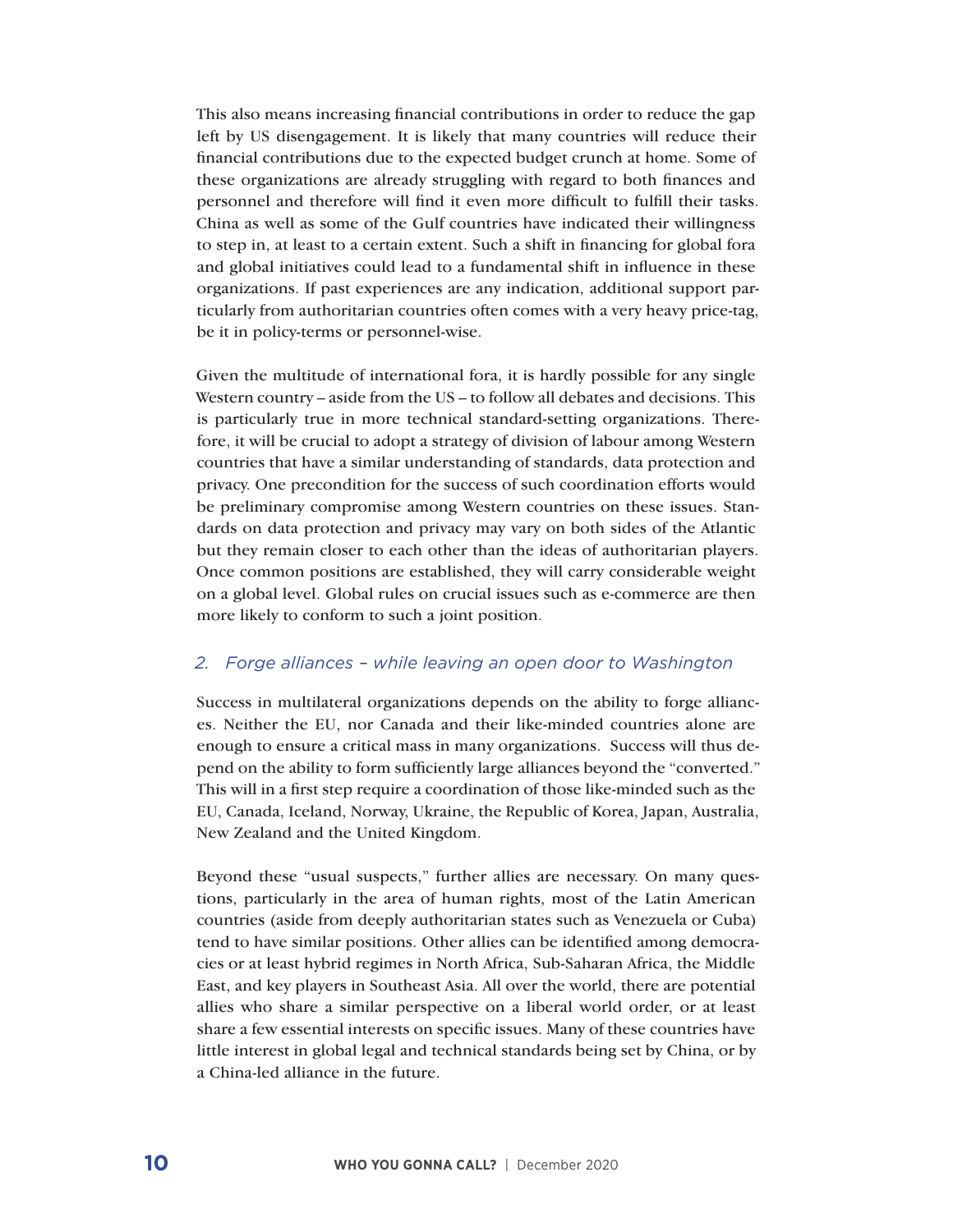This also means increasing financial contributions in order to reduce the gap left by US disengagement. It is likely that many countries will reduce their financial contributions due to the expected budget crunch at home. Some of these organizations are already struggling with regard to both finances and personnel and therefore will find it even more difficult to fulfill their tasks. China as well as some of the Gulf countries have indicated their willingness to step in, at least to a certain extent. Such a shift in financing for global fora and global initiatives could lead to a fundamental shift in influence in these organizations. If past experiences are any indication, additional support particularly from authoritarian countries often comes with a very heavy price-tag, be it in policy-terms or personnel-wise.

Given the multitude of international fora, it is hardly possible for any single Western country – aside from the US – to follow all debates and decisions. This is particularly true in more technical standard-setting organizations. Therefore, it will be crucial to adopt a strategy of division of labour among Western countries that have a similar understanding of standards, data protection and privacy. One precondition for the success of such coordination efforts would be preliminary compromise among Western countries on these issues. Standards on data protection and privacy may vary on both sides of the Atlantic but they remain closer to each other than the ideas of authoritarian players. Once common positions are established, they will carry considerable weight on a global level. Global rules on crucial issues such as e-commerce are then more likely to conform to such a joint position.

#### *2. Forge alliances – while leaving an open door to Washington*

Success in multilateral organizations depends on the ability to forge alliances. Neither the EU, nor Canada and their like-minded countries alone are enough to ensure a critical mass in many organizations. Success will thus depend on the ability to form sufficiently large alliances beyond the "converted." This will in a first step require a coordination of those like-minded such as the EU, Canada, Iceland, Norway, Ukraine, the Republic of Korea, Japan, Australia, New Zealand and the United Kingdom.

Beyond these "usual suspects," further allies are necessary. On many questions, particularly in the area of human rights, most of the Latin American countries (aside from deeply authoritarian states such as Venezuela or Cuba) tend to have similar positions. Other allies can be identified among democracies or at least hybrid regimes in North Africa, Sub-Saharan Africa, the Middle East, and key players in Southeast Asia. All over the world, there are potential allies who share a similar perspective on a liberal world order, or at least share a few essential interests on specific issues. Many of these countries have little interest in global legal and technical standards being set by China, or by a China-led alliance in the future.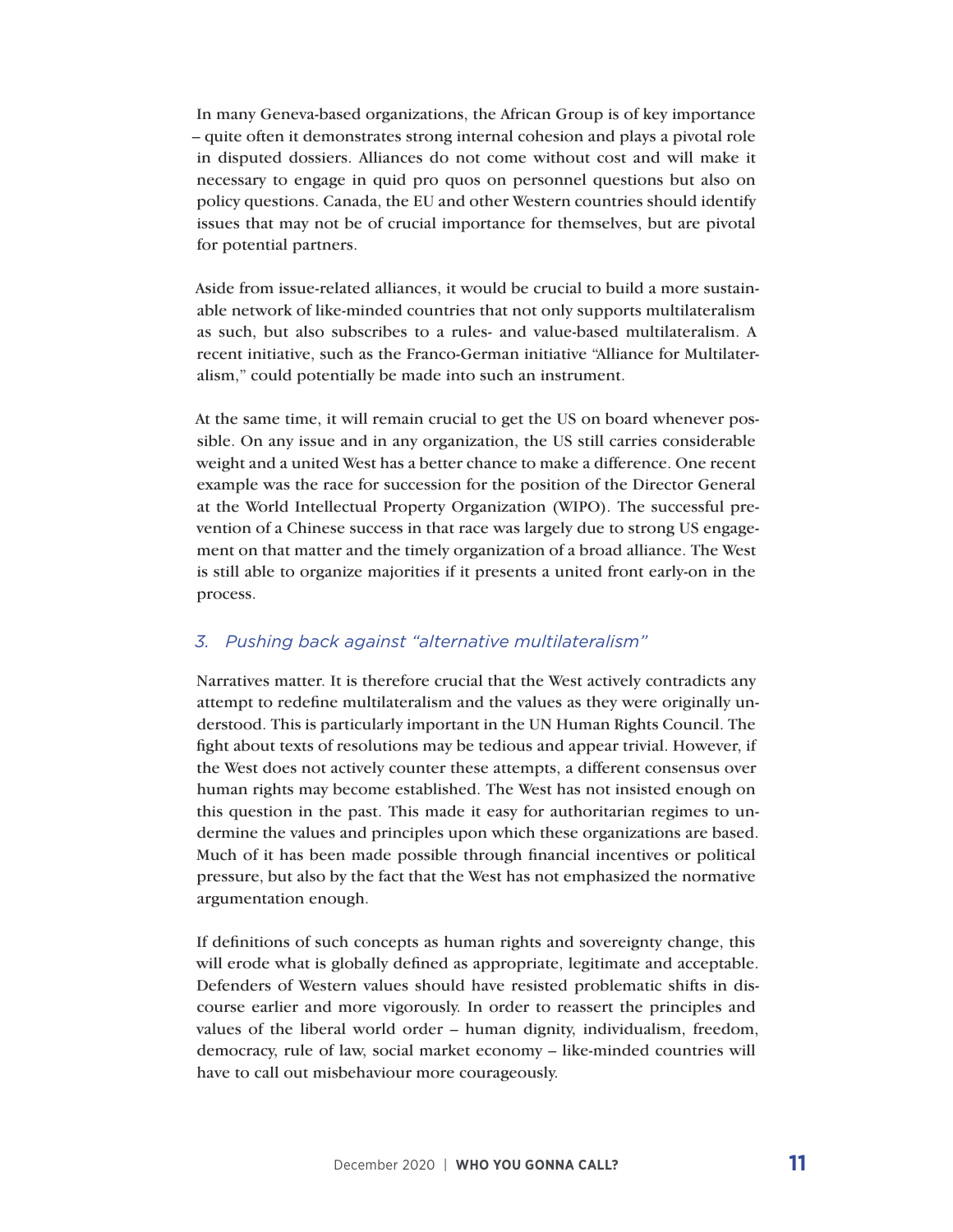In many Geneva-based organizations, the African Group is of key importance – quite often it demonstrates strong internal cohesion and plays a pivotal role in disputed dossiers. Alliances do not come without cost and will make it necessary to engage in quid pro quos on personnel questions but also on policy questions. Canada, the EU and other Western countries should identify issues that may not be of crucial importance for themselves, but are pivotal for potential partners.

Aside from issue-related alliances, it would be crucial to build a more sustainable network of like-minded countries that not only supports multilateralism as such, but also subscribes to a rules- and value-based multilateralism. A recent initiative, such as the Franco-German initiative "Alliance for Multilateralism," could potentially be made into such an instrument.

At the same time, it will remain crucial to get the US on board whenever possible. On any issue and in any organization, the US still carries considerable weight and a united West has a better chance to make a difference. One recent example was the race for succession for the position of the Director General at the World Intellectual Property Organization (WIPO). The successful prevention of a Chinese success in that race was largely due to strong US engagement on that matter and the timely organization of a broad alliance. The West is still able to organize majorities if it presents a united front early-on in the process.

#### *3. Pushing back against "alternative multilateralism"*

Narratives matter. It is therefore crucial that the West actively contradicts any attempt to redefine multilateralism and the values as they were originally understood. This is particularly important in the UN Human Rights Council. The fight about texts of resolutions may be tedious and appear trivial. However, if the West does not actively counter these attempts, a different consensus over human rights may become established. The West has not insisted enough on this question in the past. This made it easy for authoritarian regimes to undermine the values and principles upon which these organizations are based. Much of it has been made possible through financial incentives or political pressure, but also by the fact that the West has not emphasized the normative argumentation enough.

If definitions of such concepts as human rights and sovereignty change, this will erode what is globally defined as appropriate, legitimate and acceptable. Defenders of Western values should have resisted problematic shifts in discourse earlier and more vigorously. In order to reassert the principles and values of the liberal world order – human dignity, individualism, freedom, democracy, rule of law, social market economy – like-minded countries will have to call out misbehaviour more courageously.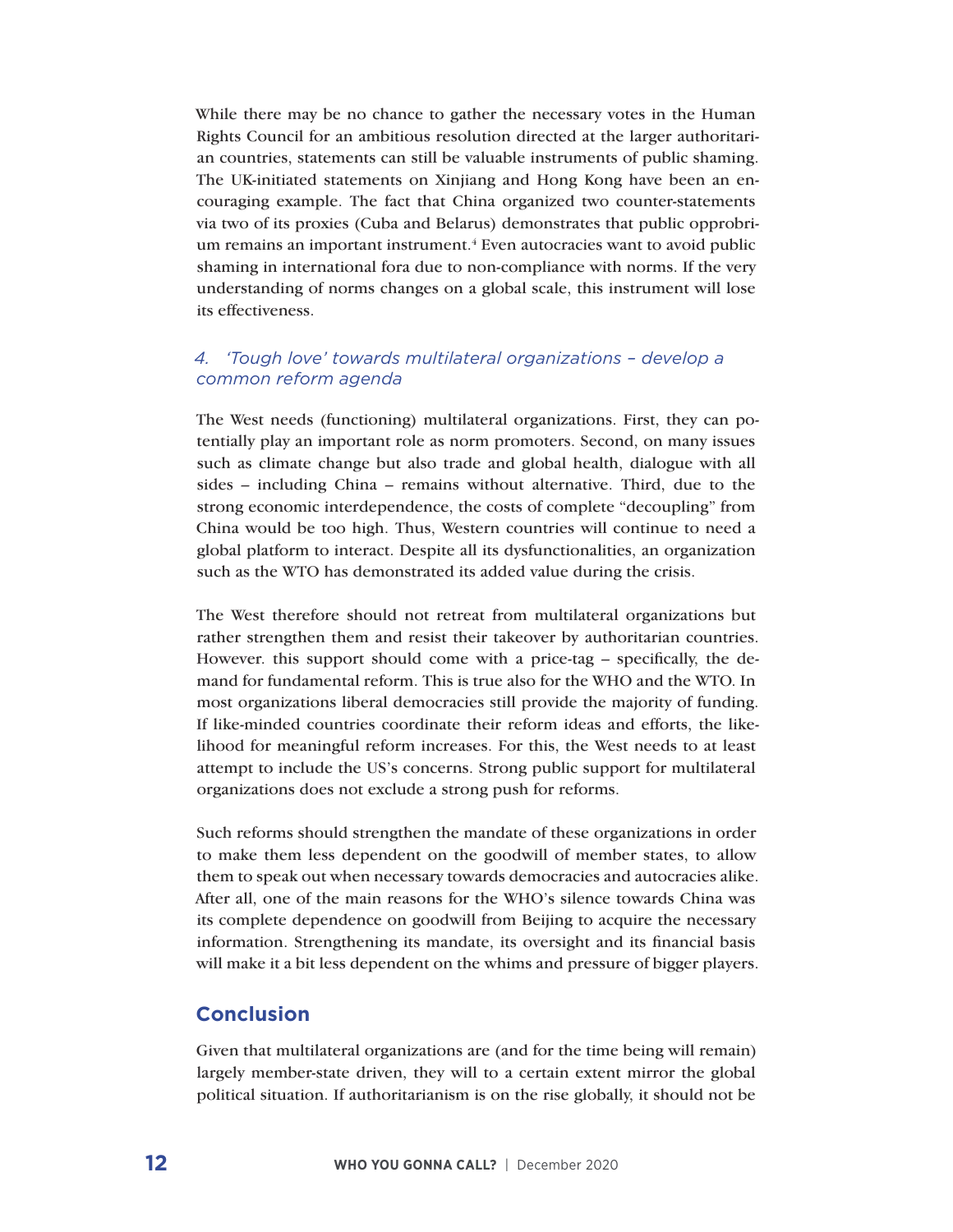While there may be no chance to gather the necessary votes in the Human Rights Council for an ambitious resolution directed at the larger authoritarian countries, statements can still be valuable instruments of public shaming. The UK-initiated statements on Xinjiang and Hong Kong have been an encouraging example. The fact that China organized two counter-statements via two of its proxies (Cuba and Belarus) demonstrates that public opprobrium remains an important instrument.<sup>4</sup> Even autocracies want to avoid public shaming in international fora due to non-compliance with norms. If the very understanding of norms changes on a global scale, this instrument will lose its effectiveness.

#### *4. 'Tough love' towards multilateral organizations – develop a common reform agenda*

The West needs (functioning) multilateral organizations. First, they can potentially play an important role as norm promoters. Second, on many issues such as climate change but also trade and global health, dialogue with all sides – including China – remains without alternative. Third, due to the strong economic interdependence, the costs of complete "decoupling" from China would be too high. Thus, Western countries will continue to need a global platform to interact. Despite all its dysfunctionalities, an organization such as the WTO has demonstrated its added value during the crisis.

The West therefore should not retreat from multilateral organizations but rather strengthen them and resist their takeover by authoritarian countries. However. this support should come with a price-tag – specifically, the demand for fundamental reform. This is true also for the WHO and the WTO. In most organizations liberal democracies still provide the majority of funding. If like-minded countries coordinate their reform ideas and efforts, the likelihood for meaningful reform increases. For this, the West needs to at least attempt to include the US's concerns. Strong public support for multilateral organizations does not exclude a strong push for reforms.

Such reforms should strengthen the mandate of these organizations in order to make them less dependent on the goodwill of member states, to allow them to speak out when necessary towards democracies and autocracies alike. After all, one of the main reasons for the WHO's silence towards China was its complete dependence on goodwill from Beijing to acquire the necessary information. Strengthening its mandate, its oversight and its financial basis will make it a bit less dependent on the whims and pressure of bigger players.

#### **Conclusion**

Given that multilateral organizations are (and for the time being will remain) largely member-state driven, they will to a certain extent mirror the global political situation. If authoritarianism is on the rise globally, it should not be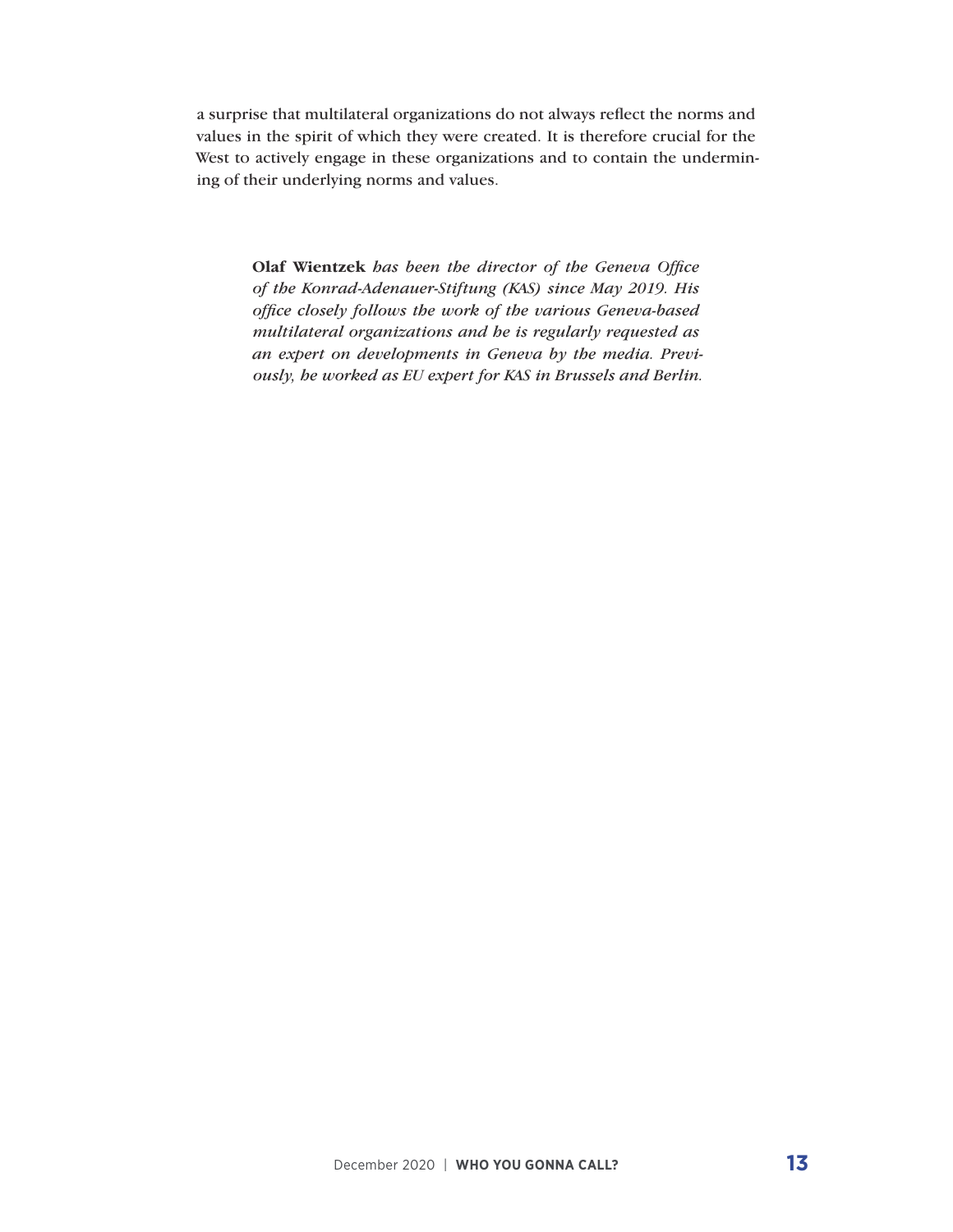a surprise that multilateral organizations do not always reflect the norms and values in the spirit of which they were created. It is therefore crucial for the West to actively engage in these organizations and to contain the undermining of their underlying norms and values.

> **Olaf Wientzek** *has been the director of the Geneva Office of the Konrad-Adenauer-Stiftung (KAS) since May 2019. His office closely follows the work of the various Geneva-based multilateral organizations and he is regularly requested as an expert on developments in Geneva by the media. Previously, he worked as EU expert for KAS in Brussels and Berlin.*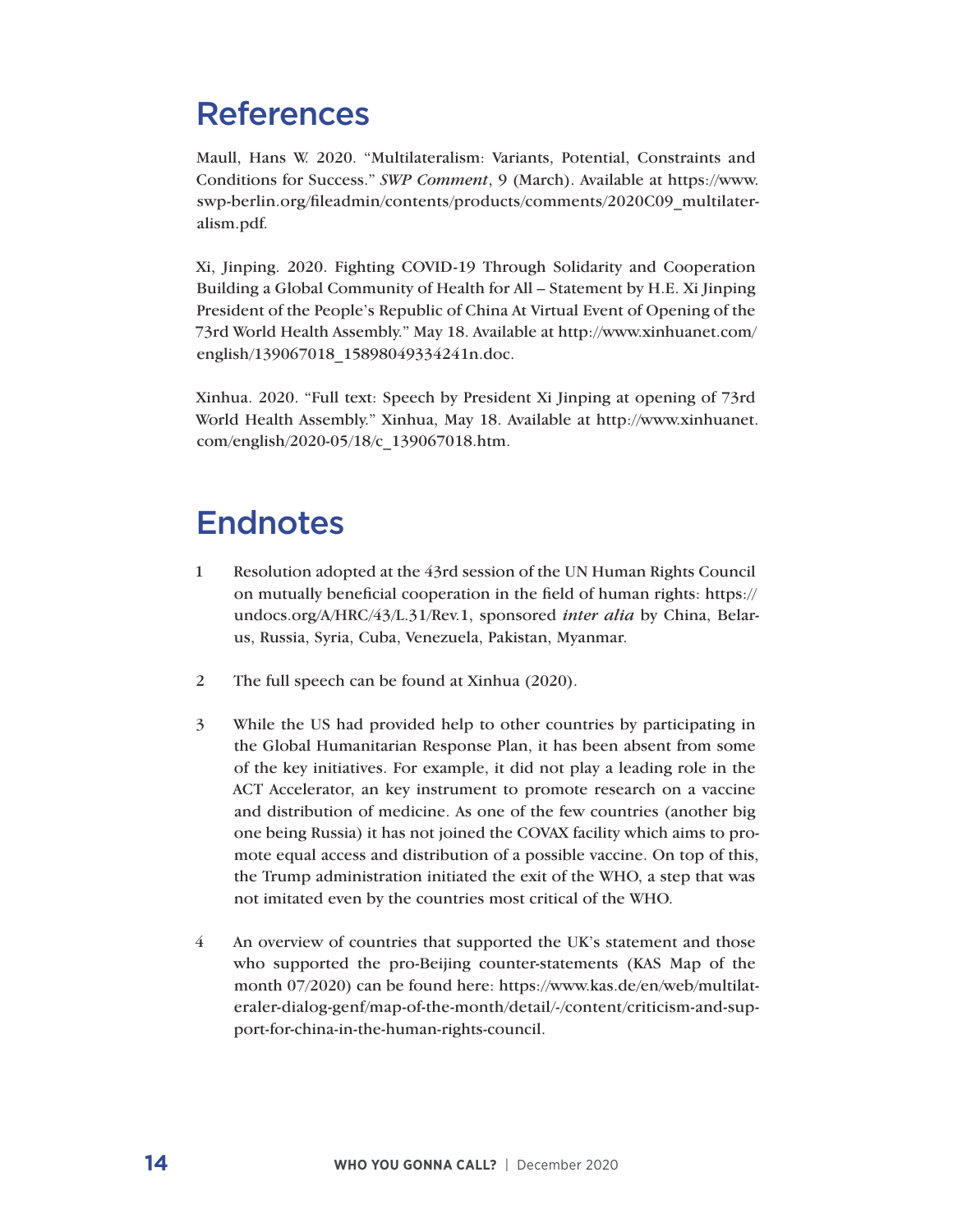# References

Maull, Hans W. 2020. "Multilateralism: Variants, Potential, Constraints and Conditions for Success." *SWP Comment*, 9 (March). Available at https://www. swp-berlin.org/fileadmin/contents/products/comments/2020C09\_multilateralism.pdf.

Xi, Jinping. 2020. Fighting COVID-19 Through Solidarity and Cooperation Building a Global Community of Health for All – Statement by H.E. Xi Jinping President of the People's Republic of China At Virtual Event of Opening of the 73rd World Health Assembly." May 18. Available at http://www.xinhuanet.com/ english/139067018\_15898049334241n.doc.

Xinhua. 2020. "Full text: Speech by President Xi Jinping at opening of 73rd World Health Assembly." Xinhua, May 18. Available at http://www.xinhuanet. com/english/2020-05/18/c\_139067018.htm.

# **Endnotes**

- 1 Resolution adopted at the 43rd session of the UN Human Rights Council on mutually beneficial cooperation in the field of human rights: https:// undocs.org/A/HRC/43/L.31/Rev.1, sponsored *inter alia* by China, Belarus, Russia, Syria, Cuba, Venezuela, Pakistan, Myanmar.
- 2 The full speech can be found at Xinhua (2020).
- 3 While the US had provided help to other countries by participating in the Global Humanitarian Response Plan, it has been absent from some of the key initiatives. For example, it did not play a leading role in the ACT Accelerator, an key instrument to promote research on a vaccine and distribution of medicine. As one of the few countries (another big one being Russia) it has not joined the COVAX facility which aims to promote equal access and distribution of a possible vaccine. On top of this, the Trump administration initiated the exit of the WHO, a step that was not imitated even by the countries most critical of the WHO.
- 4 An overview of countries that supported the UK's statement and those who supported the pro-Beijing counter-statements (KAS Map of the month 07/2020) can be found here: https://www.kas.de/en/web/multilateraler-dialog-genf/map-of-the-month/detail/-/content/criticism-and-support-for-china-in-the-human-rights-council.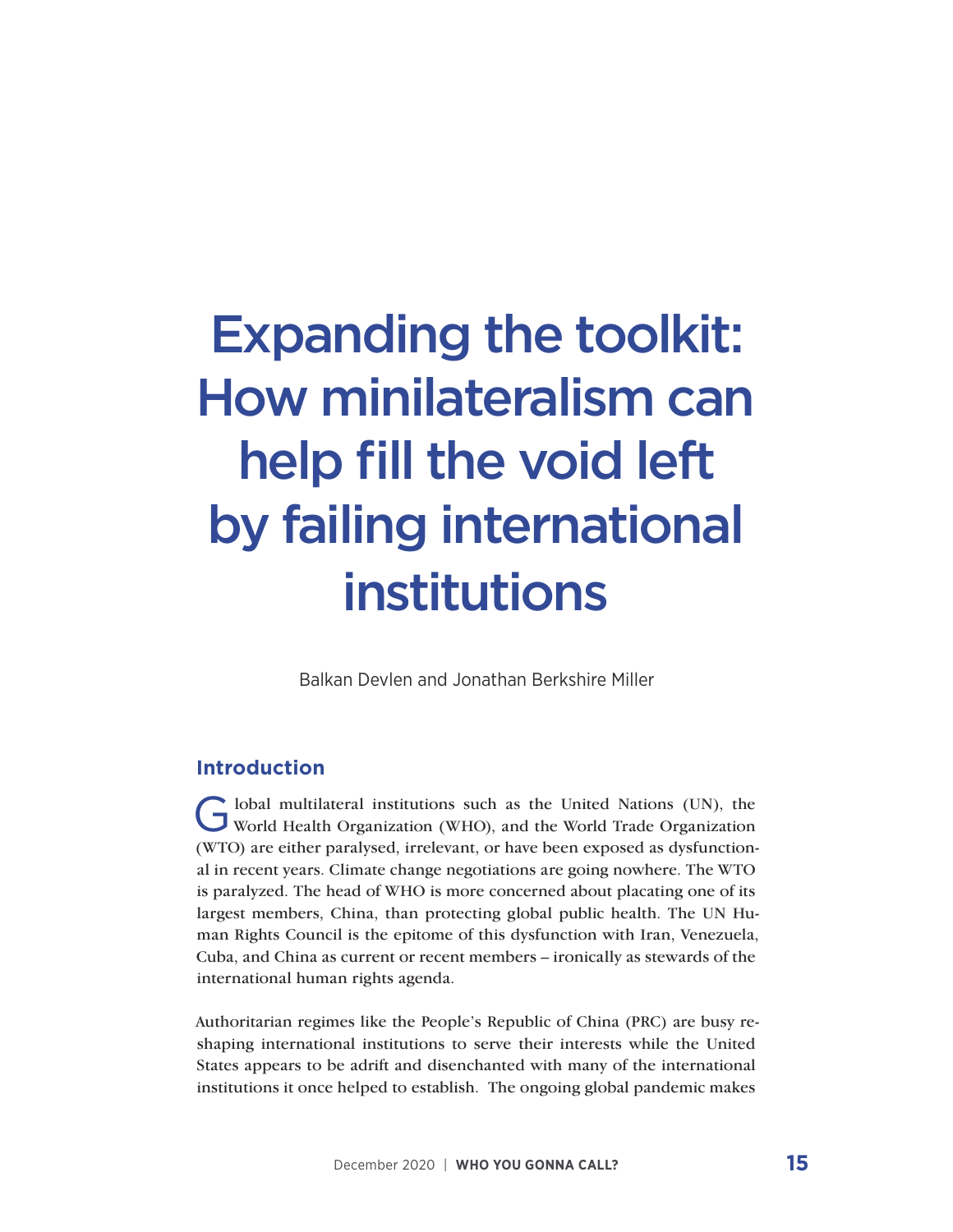# Expanding the toolkit: How minilateralism can help fill the void left by failing international institutions

Balkan Devlen and Jonathan Berkshire Miller

#### **Introduction**

G lobal multilateral institutions such as the United Nations (UN), the World Health Organization (WHO), and the World Trade Organization (WTO) are either paralysed, irrelevant, or have been exposed as dysfunctional in recent years. Climate change negotiations are going nowhere. The WTO is paralyzed. The head of WHO is more concerned about placating one of its largest members, China, than protecting global public health. The UN Human Rights Council is the epitome of this dysfunction with Iran, Venezuela, Cuba, and China as current or recent members – ironically as stewards of the international human rights agenda.

Authoritarian regimes like the People's Republic of China (PRC) are busy reshaping international institutions to serve their interests while the United States appears to be adrift and disenchanted with many of the international institutions it once helped to establish. The ongoing global pandemic makes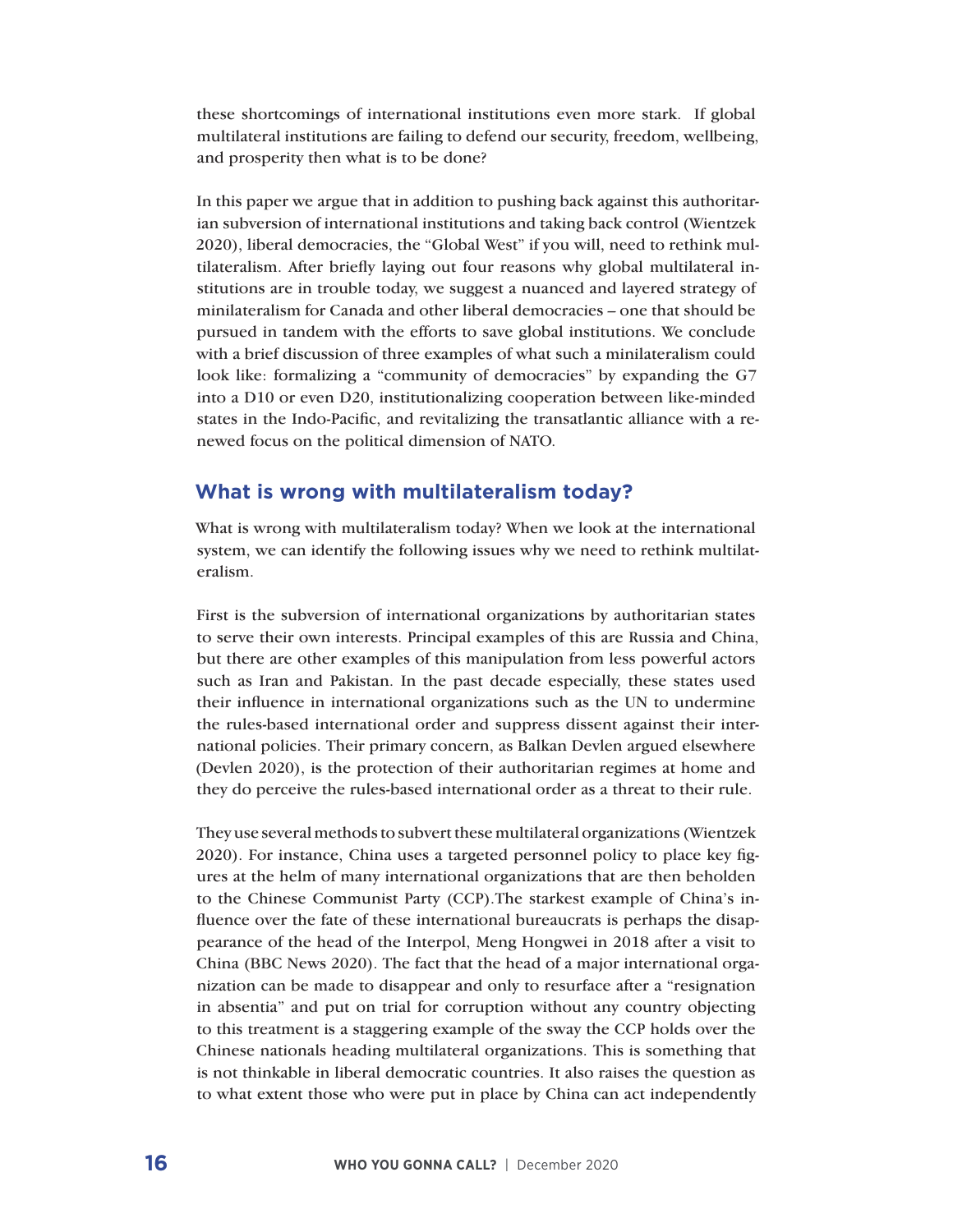these shortcomings of international institutions even more stark. If global multilateral institutions are failing to defend our security, freedom, wellbeing, and prosperity then what is to be done?

In this paper we argue that in addition to pushing back against this authoritarian subversion of international institutions and taking back control (Wientzek 2020), liberal democracies, the "Global West" if you will, need to rethink multilateralism. After briefly laying out four reasons why global multilateral institutions are in trouble today, we suggest a nuanced and layered strategy of minilateralism for Canada and other liberal democracies – one that should be pursued in tandem with the efforts to save global institutions. We conclude with a brief discussion of three examples of what such a minilateralism could look like: formalizing a "community of democracies" by expanding the G7 into a D10 or even D20, institutionalizing cooperation between like-minded states in the Indo-Pacific, and revitalizing the transatlantic alliance with a renewed focus on the political dimension of NATO.

#### **What is wrong with multilateralism today?**

What is wrong with multilateralism today? When we look at the international system, we can identify the following issues why we need to rethink multilateralism.

First is the subversion of international organizations by authoritarian states to serve their own interests. Principal examples of this are Russia and China, but there are other examples of this manipulation from less powerful actors such as Iran and Pakistan. In the past decade especially, these states used their influence in international organizations such as the UN to undermine the rules-based international order and suppress dissent against their international policies. Their primary concern, as Balkan Devlen argued elsewhere (Devlen 2020), is the protection of their authoritarian regimes at home and they do perceive the rules-based international order as a threat to their rule.

They use several methods to subvert these multilateral organizations (Wientzek 2020). For instance, China uses a targeted personnel policy to place key figures at the helm of many international organizations that are then beholden to the Chinese Communist Party (CCP).The starkest example of China's influence over the fate of these international bureaucrats is perhaps the disappearance of the head of the Interpol, Meng Hongwei in 2018 after a visit to China (BBC News 2020). The fact that the head of a major international organization can be made to disappear and only to resurface after a "resignation in absentia" and put on trial for corruption without any country objecting to this treatment is a staggering example of the sway the CCP holds over the Chinese nationals heading multilateral organizations. This is something that is not thinkable in liberal democratic countries. It also raises the question as to what extent those who were put in place by China can act independently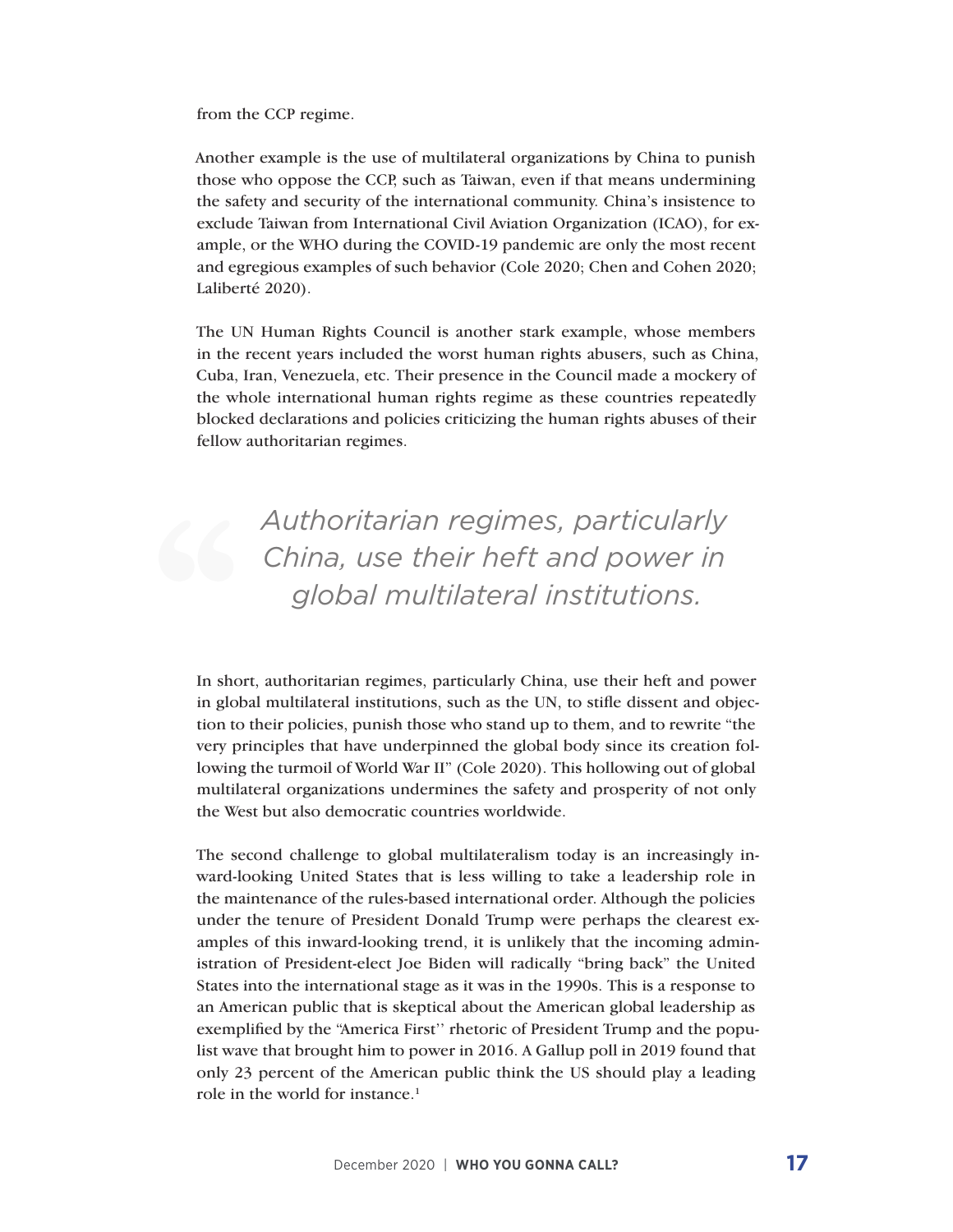from the CCP regime.

Another example is the use of multilateral organizations by China to punish those who oppose the CCP, such as Taiwan, even if that means undermining the safety and security of the international community. China's insistence to exclude Taiwan from International Civil Aviation Organization (ICAO), for example, or the WHO during the COVID-19 pandemic are only the most recent and egregious examples of such behavior (Cole 2020; Chen and Cohen 2020; Laliberté 2020).

The UN Human Rights Council is another stark example, whose members in the recent years included the worst human rights abusers, such as China, Cuba, Iran, Venezuela, etc. Their presence in the Council made a mockery of the whole international human rights regime as these countries repeatedly blocked declarations and policies criticizing the human rights abuses of their fellow authoritarian regimes.

*Authoritarian regimes, particularly China, use their heft and power in global multilateral institutions.*

In short, authoritarian regimes, particularly China, use their heft and power in global multilateral institutions, such as the UN, to stifle dissent and objection to their policies, punish those who stand up to them, and to rewrite "the very principles that have underpinned the global body since its creation following the turmoil of World War II" (Cole 2020). This hollowing out of global multilateral organizations undermines the safety and prosperity of not only the West but also democratic countries worldwide.

The second challenge to global multilateralism today is an increasingly inward-looking United States that is less willing to take a leadership role in the maintenance of the rules-based international order. Although the policies under the tenure of President Donald Trump were perhaps the clearest examples of this inward-looking trend, it is unlikely that the incoming administration of President-elect Joe Biden will radically "bring back" the United States into the international stage as it was in the 1990s. This is a response to an American public that is skeptical about the American global leadership as exemplified by the "America First'' rhetoric of President Trump and the populist wave that brought him to power in 2016. A Gallup poll in 2019 found that only 23 percent of the American public think the US should play a leading role in the world for instance.<sup>1</sup>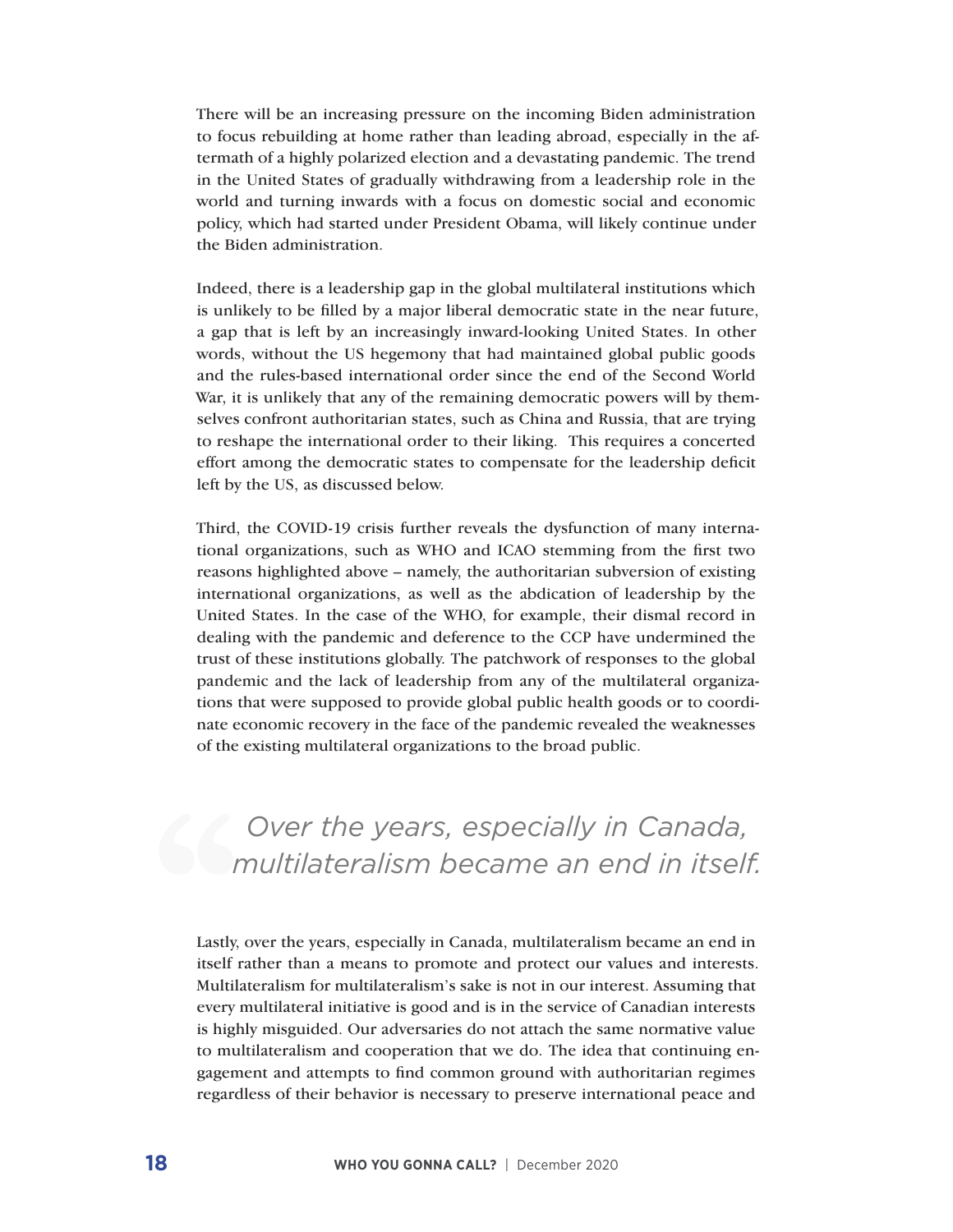There will be an increasing pressure on the incoming Biden administration to focus rebuilding at home rather than leading abroad, especially in the aftermath of a highly polarized election and a devastating pandemic. The trend in the United States of gradually withdrawing from a leadership role in the world and turning inwards with a focus on domestic social and economic policy, which had started under President Obama, will likely continue under the Biden administration.

Indeed, there is a leadership gap in the global multilateral institutions which is unlikely to be filled by a major liberal democratic state in the near future, a gap that is left by an increasingly inward-looking United States. In other words, without the US hegemony that had maintained global public goods and the rules-based international order since the end of the Second World War, it is unlikely that any of the remaining democratic powers will by themselves confront authoritarian states, such as China and Russia, that are trying to reshape the international order to their liking. This requires a concerted effort among the democratic states to compensate for the leadership deficit left by the US, as discussed below.

Third, the COVID-19 crisis further reveals the dysfunction of many international organizations, such as WHO and ICAO stemming from the first two reasons highlighted above – namely, the authoritarian subversion of existing international organizations, as well as the abdication of leadership by the United States. In the case of the WHO, for example, their dismal record in dealing with the pandemic and deference to the CCP have undermined the trust of these institutions globally. The patchwork of responses to the global pandemic and the lack of leadership from any of the multilateral organizations that were supposed to provide global public health goods or to coordinate economic recovery in the face of the pandemic revealed the weaknesses of the existing multilateral organizations to the broad public.

*Over the years, especially in Canada, multilateralism became an end in itself.*

Lastly, over the years, especially in Canada, multilateralism became an end in itself rather than a means to promote and protect our values and interests. Multilateralism for multilateralism's sake is not in our interest. Assuming that every multilateral initiative is good and is in the service of Canadian interests is highly misguided. Our adversaries do not attach the same normative value to multilateralism and cooperation that we do. The idea that continuing engagement and attempts to find common ground with authoritarian regimes regardless of their behavior is necessary to preserve international peace and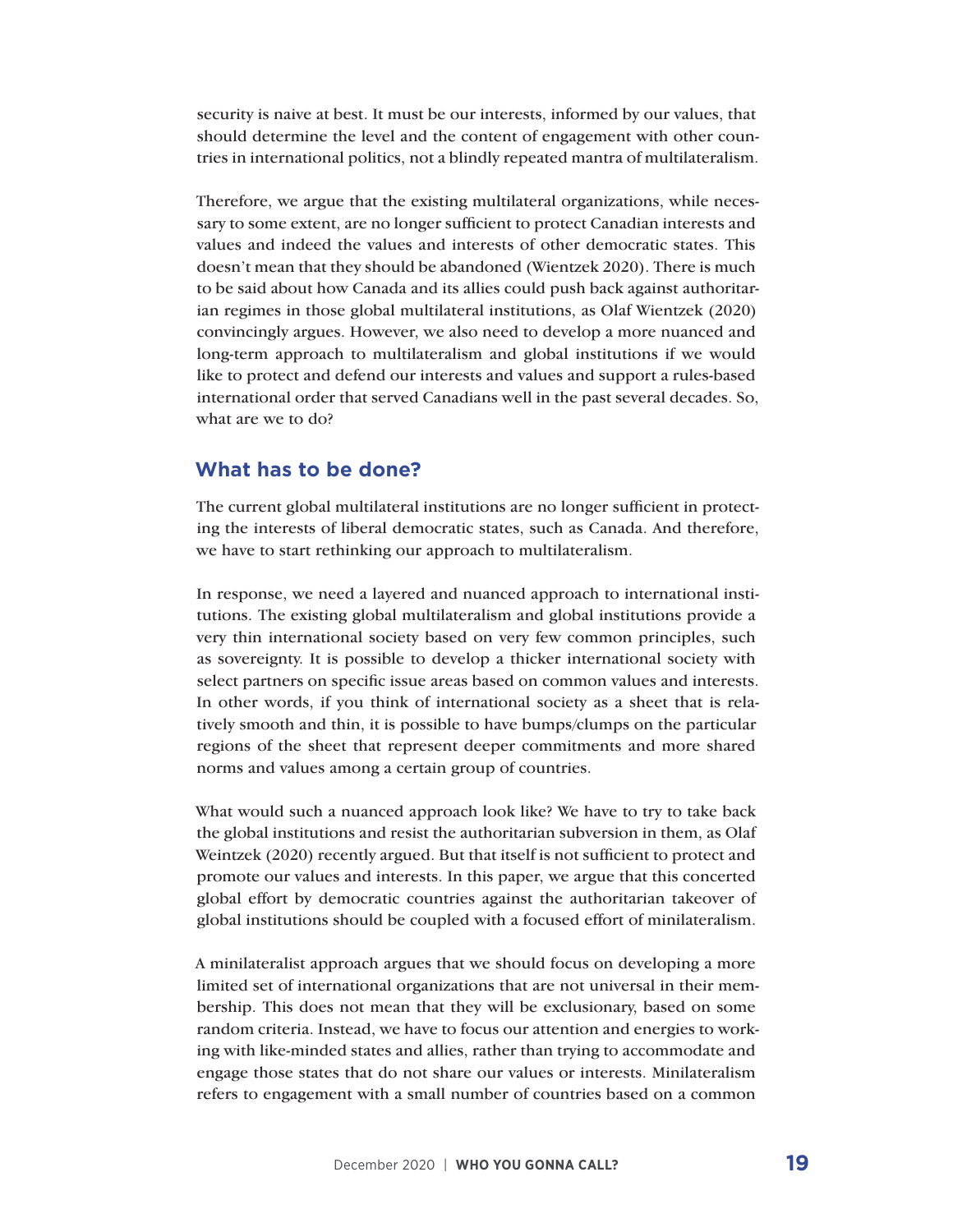security is naive at best. It must be our interests, informed by our values, that should determine the level and the content of engagement with other countries in international politics, not a blindly repeated mantra of multilateralism.

Therefore, we argue that the existing multilateral organizations, while necessary to some extent, are no longer sufficient to protect Canadian interests and values and indeed the values and interests of other democratic states. This doesn't mean that they should be abandoned (Wientzek 2020). There is much to be said about how Canada and its allies could push back against authoritarian regimes in those global multilateral institutions, as Olaf Wientzek (2020) convincingly argues. However, we also need to develop a more nuanced and long-term approach to multilateralism and global institutions if we would like to protect and defend our interests and values and support a rules-based international order that served Canadians well in the past several decades. So, what are we to do?

#### **What has to be done?**

The current global multilateral institutions are no longer sufficient in protecting the interests of liberal democratic states, such as Canada. And therefore, we have to start rethinking our approach to multilateralism.

In response, we need a layered and nuanced approach to international institutions. The existing global multilateralism and global institutions provide a very thin international society based on very few common principles, such as sovereignty. It is possible to develop a thicker international society with select partners on specific issue areas based on common values and interests. In other words, if you think of international society as a sheet that is relatively smooth and thin, it is possible to have bumps/clumps on the particular regions of the sheet that represent deeper commitments and more shared norms and values among a certain group of countries.

What would such a nuanced approach look like? We have to try to take back the global institutions and resist the authoritarian subversion in them, as Olaf Weintzek (2020) recently argued. But that itself is not sufficient to protect and promote our values and interests. In this paper, we argue that this concerted global effort by democratic countries against the authoritarian takeover of global institutions should be coupled with a focused effort of minilateralism.

A minilateralist approach argues that we should focus on developing a more limited set of international organizations that are not universal in their membership. This does not mean that they will be exclusionary, based on some random criteria. Instead, we have to focus our attention and energies to working with like-minded states and allies, rather than trying to accommodate and engage those states that do not share our values or interests. Minilateralism refers to engagement with a small number of countries based on a common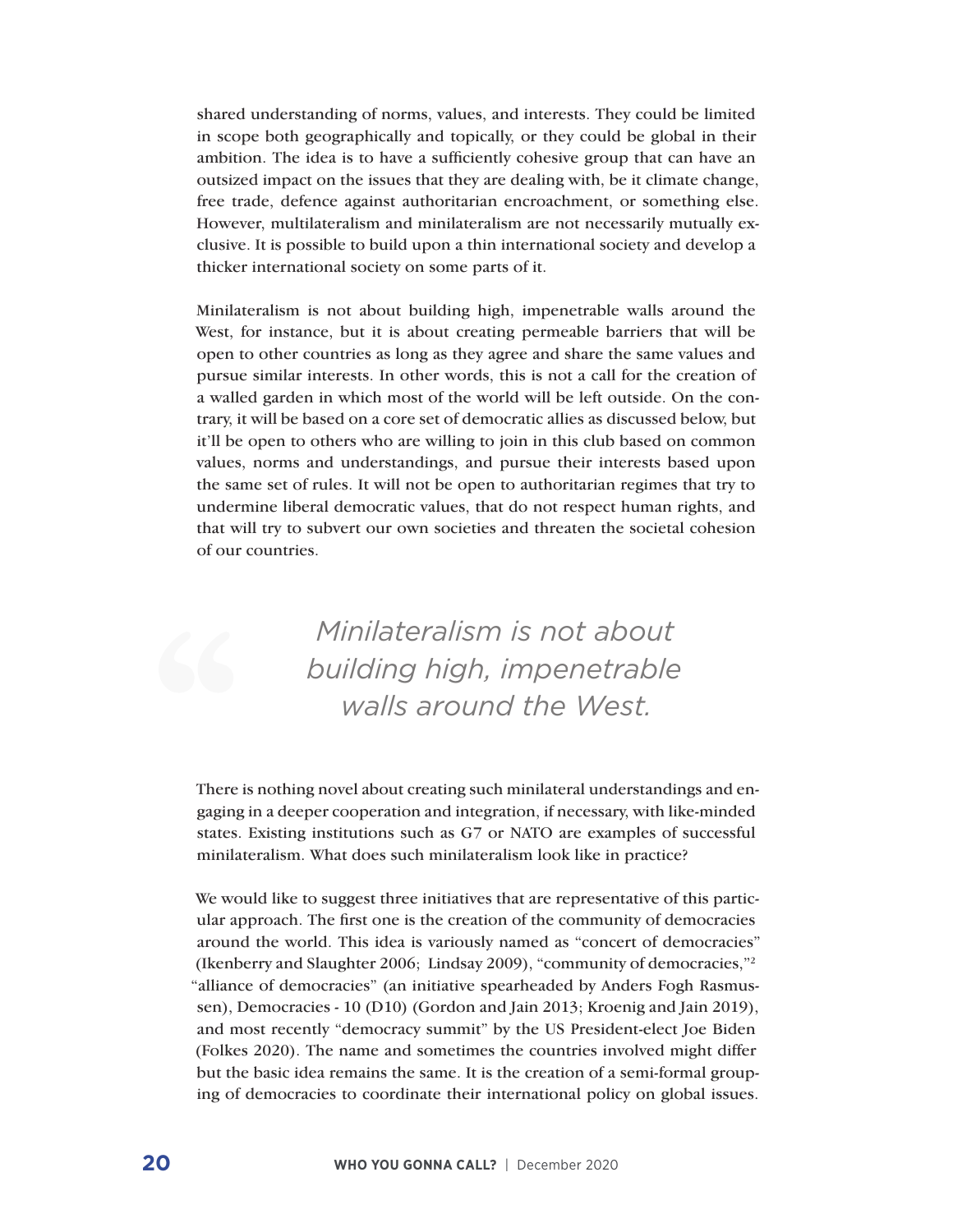shared understanding of norms, values, and interests. They could be limited in scope both geographically and topically, or they could be global in their ambition. The idea is to have a sufficiently cohesive group that can have an outsized impact on the issues that they are dealing with, be it climate change, free trade, defence against authoritarian encroachment, or something else. However, multilateralism and minilateralism are not necessarily mutually exclusive. It is possible to build upon a thin international society and develop a thicker international society on some parts of it.

Minilateralism is not about building high, impenetrable walls around the West, for instance, but it is about creating permeable barriers that will be open to other countries as long as they agree and share the same values and pursue similar interests. In other words, this is not a call for the creation of a walled garden in which most of the world will be left outside. On the contrary, it will be based on a core set of democratic allies as discussed below, but it'll be open to others who are willing to join in this club based on common values, norms and understandings, and pursue their interests based upon the same set of rules. It will not be open to authoritarian regimes that try to undermine liberal democratic values, that do not respect human rights, and that will try to subvert our own societies and threaten the societal cohesion of our countries.

> *Minilateralism is not about building high, impenetrable walls around the West.*

There is nothing novel about creating such minilateral understandings and engaging in a deeper cooperation and integration, if necessary, with like-minded states. Existing institutions such as G7 or NATO are examples of successful minilateralism. What does such minilateralism look like in practice?

We would like to suggest three initiatives that are representative of this particular approach. The first one is the creation of the community of democracies around the world. This idea is variously named as "concert of democracies" (Ikenberry and Slaughter 2006; Lindsay 2009), "community of democracies,"2 "alliance of democracies" (an initiative spearheaded by Anders Fogh Rasmussen), Democracies - 10 (D10) (Gordon and Jain 2013; Kroenig and Jain 2019), and most recently "democracy summit" by the US President-elect Joe Biden (Folkes 2020). The name and sometimes the countries involved might differ but the basic idea remains the same. It is the creation of a semi-formal grouping of democracies to coordinate their international policy on global issues.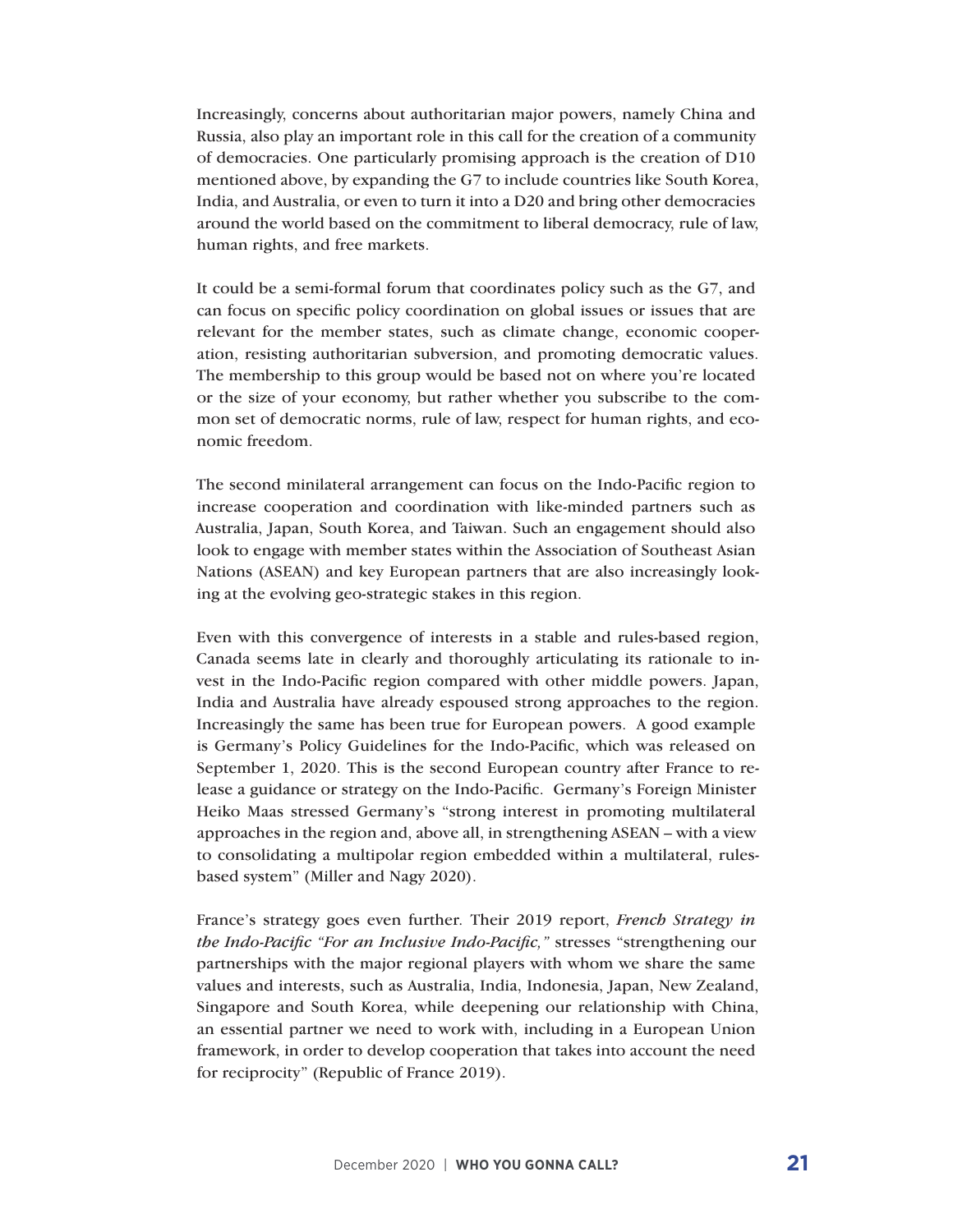Increasingly, concerns about authoritarian major powers, namely China and Russia, also play an important role in this call for the creation of a community of democracies. One particularly promising approach is the creation of D10 mentioned above, by expanding the G7 to include countries like South Korea, India, and Australia, or even to turn it into a D20 and bring other democracies around the world based on the commitment to liberal democracy, rule of law, human rights, and free markets.

It could be a semi-formal forum that coordinates policy such as the G7, and can focus on specific policy coordination on global issues or issues that are relevant for the member states, such as climate change, economic cooperation, resisting authoritarian subversion, and promoting democratic values. The membership to this group would be based not on where you're located or the size of your economy, but rather whether you subscribe to the common set of democratic norms, rule of law, respect for human rights, and economic freedom.

The second minilateral arrangement can focus on the Indo-Pacific region to increase cooperation and coordination with like-minded partners such as Australia, Japan, South Korea, and Taiwan. Such an engagement should also look to engage with member states within the Association of Southeast Asian Nations (ASEAN) and key European partners that are also increasingly looking at the evolving geo-strategic stakes in this region.

Even with this convergence of interests in a stable and rules-based region, Canada seems late in clearly and thoroughly articulating its rationale to invest in the Indo-Pacific region compared with other middle powers. Japan, India and Australia have already espoused strong approaches to the region. Increasingly the same has been true for European powers. A good example is Germany's Policy Guidelines for the Indo-Pacific, which was released on September 1, 2020. This is the second European country after France to release a guidance or strategy on the Indo-Pacific. Germany's Foreign Minister Heiko Maas stressed Germany's "strong interest in promoting multilateral approaches in the region and, above all, in strengthening ASEAN – with a view to consolidating a multipolar region embedded within a multilateral, rulesbased system" (Miller and Nagy 2020).

France's strategy goes even further. Their 2019 report, *French Strategy in the Indo-Pacific "For an Inclusive Indo-Pacific,"* stresses "strengthening our partnerships with the major regional players with whom we share the same values and interests, such as Australia, India, Indonesia, Japan, New Zealand, Singapore and South Korea, while deepening our relationship with China, an essential partner we need to work with, including in a European Union framework, in order to develop cooperation that takes into account the need for reciprocity" (Republic of France 2019).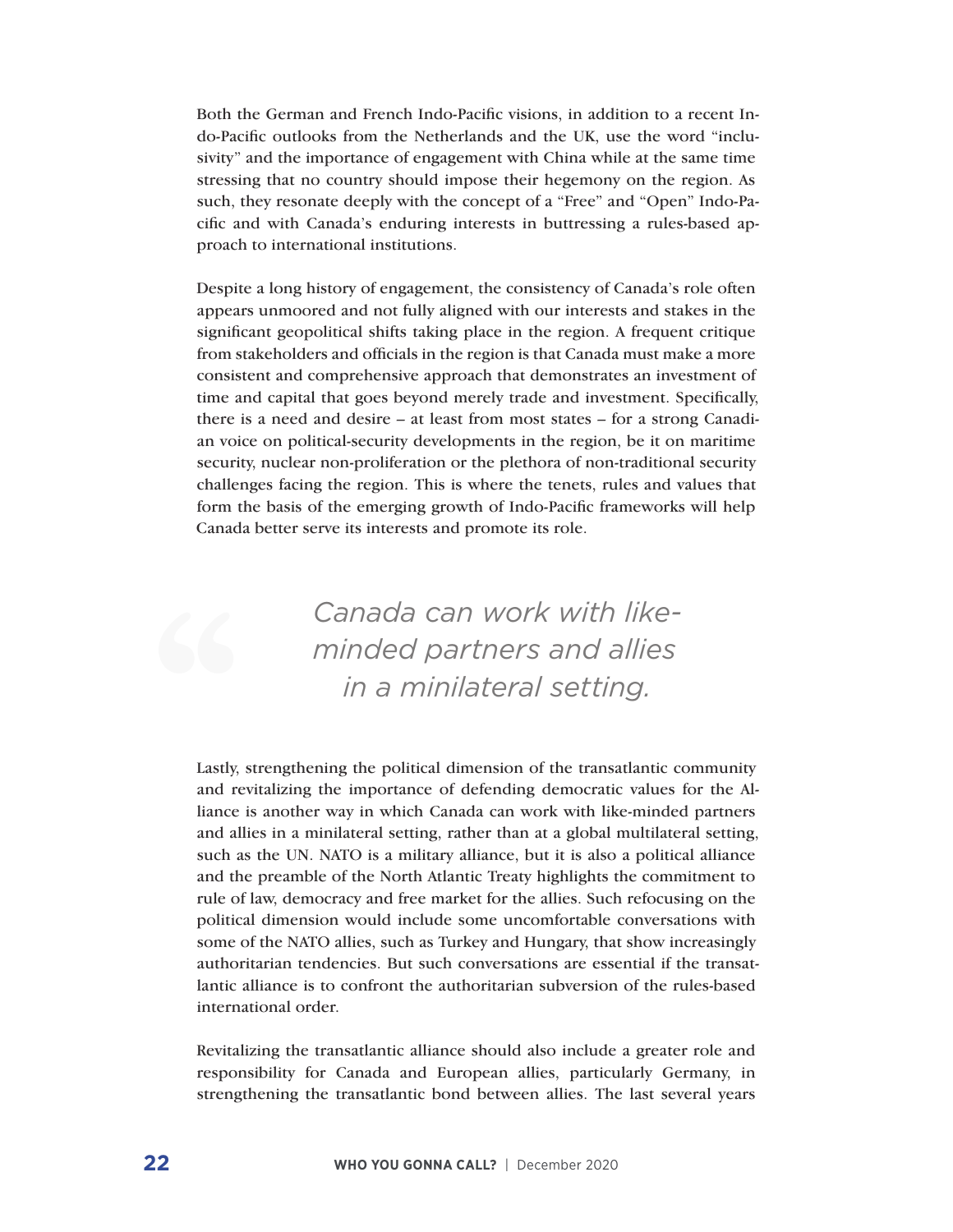Both the German and French Indo-Pacific visions, in addition to a recent Indo-Pacific outlooks from the Netherlands and the UK, use the word "inclusivity" and the importance of engagement with China while at the same time stressing that no country should impose their hegemony on the region. As such, they resonate deeply with the concept of a "Free" and "Open" Indo-Pacific and with Canada's enduring interests in buttressing a rules-based approach to international institutions.

Despite a long history of engagement, the consistency of Canada's role often appears unmoored and not fully aligned with our interests and stakes in the significant geopolitical shifts taking place in the region. A frequent critique from stakeholders and officials in the region is that Canada must make a more consistent and comprehensive approach that demonstrates an investment of time and capital that goes beyond merely trade and investment. Specifically, there is a need and desire – at least from most states – for a strong Canadian voice on political-security developments in the region, be it on maritime security, nuclear non-proliferation or the plethora of non-traditional security challenges facing the region. This is where the tenets, rules and values that form the basis of the emerging growth of Indo-Pacific frameworks will help Canada better serve its interests and promote its role.

> *Canada can work with likeminded partners and allies in a minilateral setting.*

Lastly, strengthening the political dimension of the transatlantic community and revitalizing the importance of defending democratic values for the Alliance is another way in which Canada can work with like-minded partners and allies in a minilateral setting, rather than at a global multilateral setting, such as the UN. NATO is a military alliance, but it is also a political alliance and the preamble of the North Atlantic Treaty highlights the commitment to rule of law, democracy and free market for the allies. Such refocusing on the political dimension would include some uncomfortable conversations with some of the NATO allies, such as Turkey and Hungary, that show increasingly authoritarian tendencies. But such conversations are essential if the transatlantic alliance is to confront the authoritarian subversion of the rules-based international order.

Revitalizing the transatlantic alliance should also include a greater role and responsibility for Canada and European allies, particularly Germany, in strengthening the transatlantic bond between allies. The last several years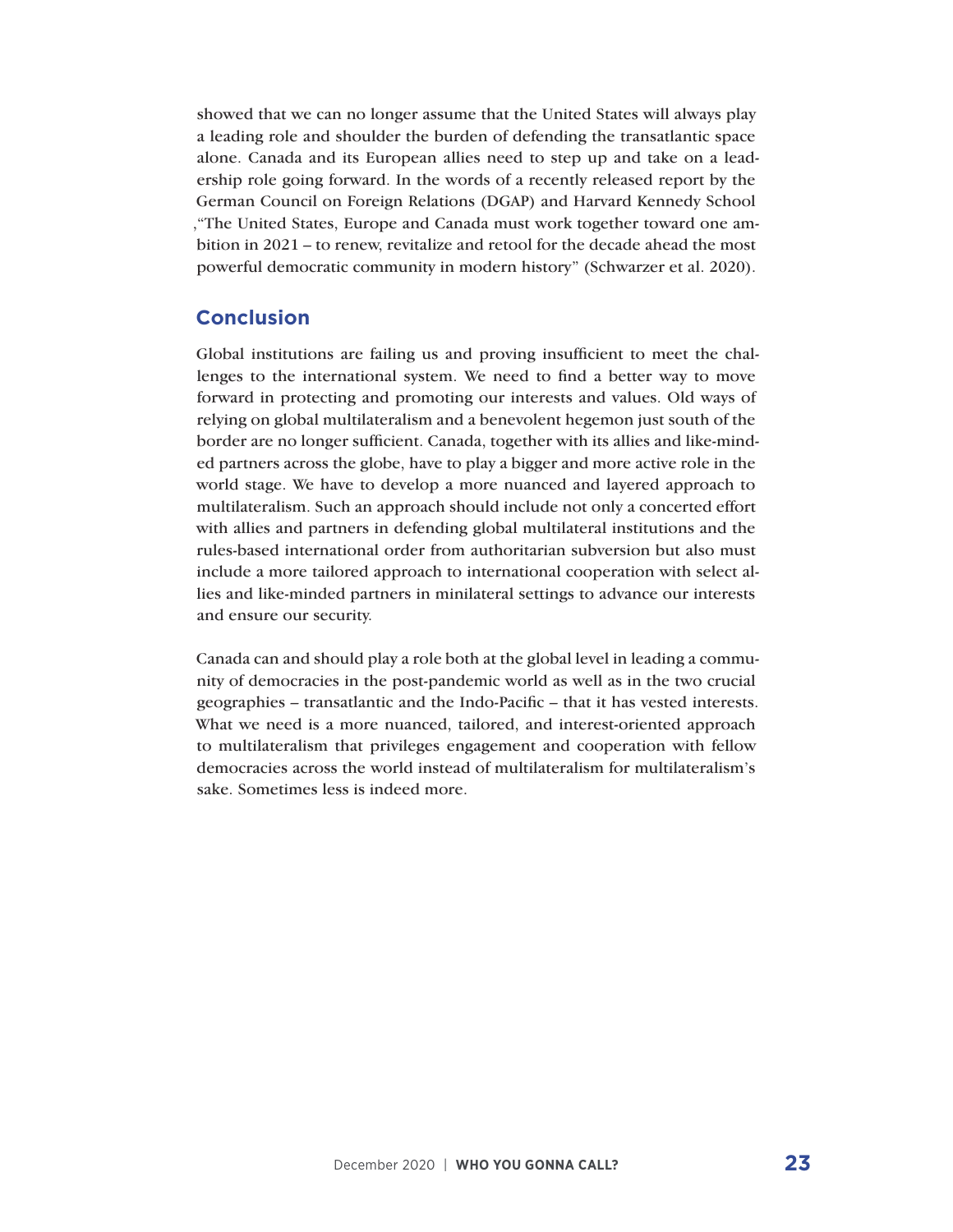showed that we can no longer assume that the United States will always play a leading role and shoulder the burden of defending the transatlantic space alone. Canada and its European allies need to step up and take on a leadership role going forward. In the words of a recently released report by the German Council on Foreign Relations (DGAP) and Harvard Kennedy School ,"The United States, Europe and Canada must work together toward one ambition in 2021 – to renew, revitalize and retool for the decade ahead the most powerful democratic community in modern history" (Schwarzer et al. 2020).

#### **Conclusion**

Global institutions are failing us and proving insufficient to meet the challenges to the international system. We need to find a better way to move forward in protecting and promoting our interests and values. Old ways of relying on global multilateralism and a benevolent hegemon just south of the border are no longer sufficient. Canada, together with its allies and like-minded partners across the globe, have to play a bigger and more active role in the world stage. We have to develop a more nuanced and layered approach to multilateralism. Such an approach should include not only a concerted effort with allies and partners in defending global multilateral institutions and the rules-based international order from authoritarian subversion but also must include a more tailored approach to international cooperation with select allies and like-minded partners in minilateral settings to advance our interests and ensure our security.

Canada can and should play a role both at the global level in leading a community of democracies in the post-pandemic world as well as in the two crucial geographies – transatlantic and the Indo-Pacific – that it has vested interests. What we need is a more nuanced, tailored, and interest-oriented approach to multilateralism that privileges engagement and cooperation with fellow democracies across the world instead of multilateralism for multilateralism's sake. Sometimes less is indeed more.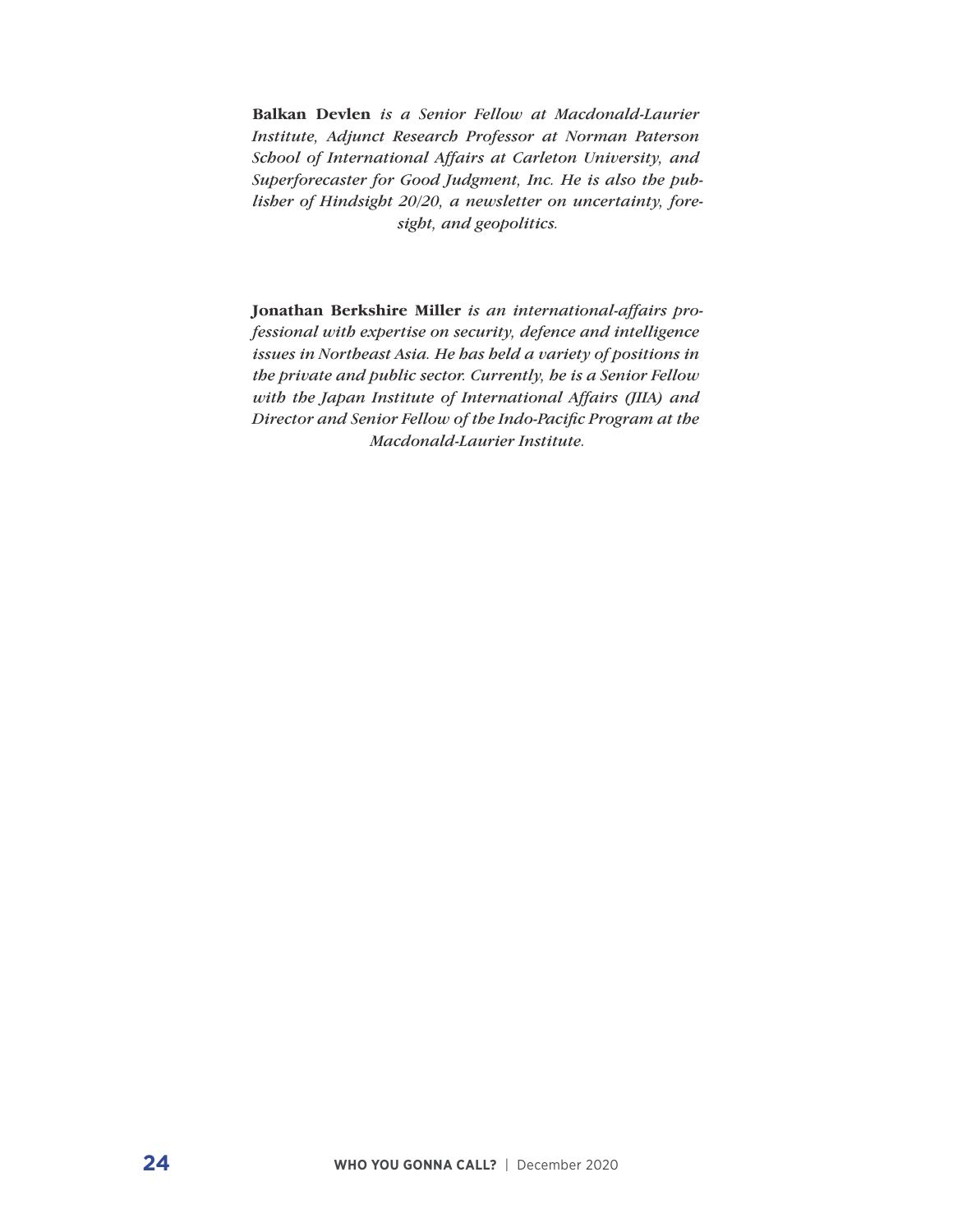**Balkan Devlen** *is a Senior Fellow at Macdonald-Laurier Institute, Adjunct Research Professor at Norman Paterson School of International Affairs at Carleton University, and Superforecaster for Good Judgment, Inc. He is also the publisher of Hindsight 20/20, a newsletter on uncertainty, foresight, and geopolitics.*

**Jonathan Berkshire Miller** *is an international-affairs professional with expertise on security, defence and intelligence issues in Northeast Asia. He has held a variety of positions in the private and public sector. Currently, he is a Senior Fellow with the Japan Institute of International Affairs (JIIA) and Director and Senior Fellow of the Indo-Pacific Program at the Macdonald-Laurier Institute.*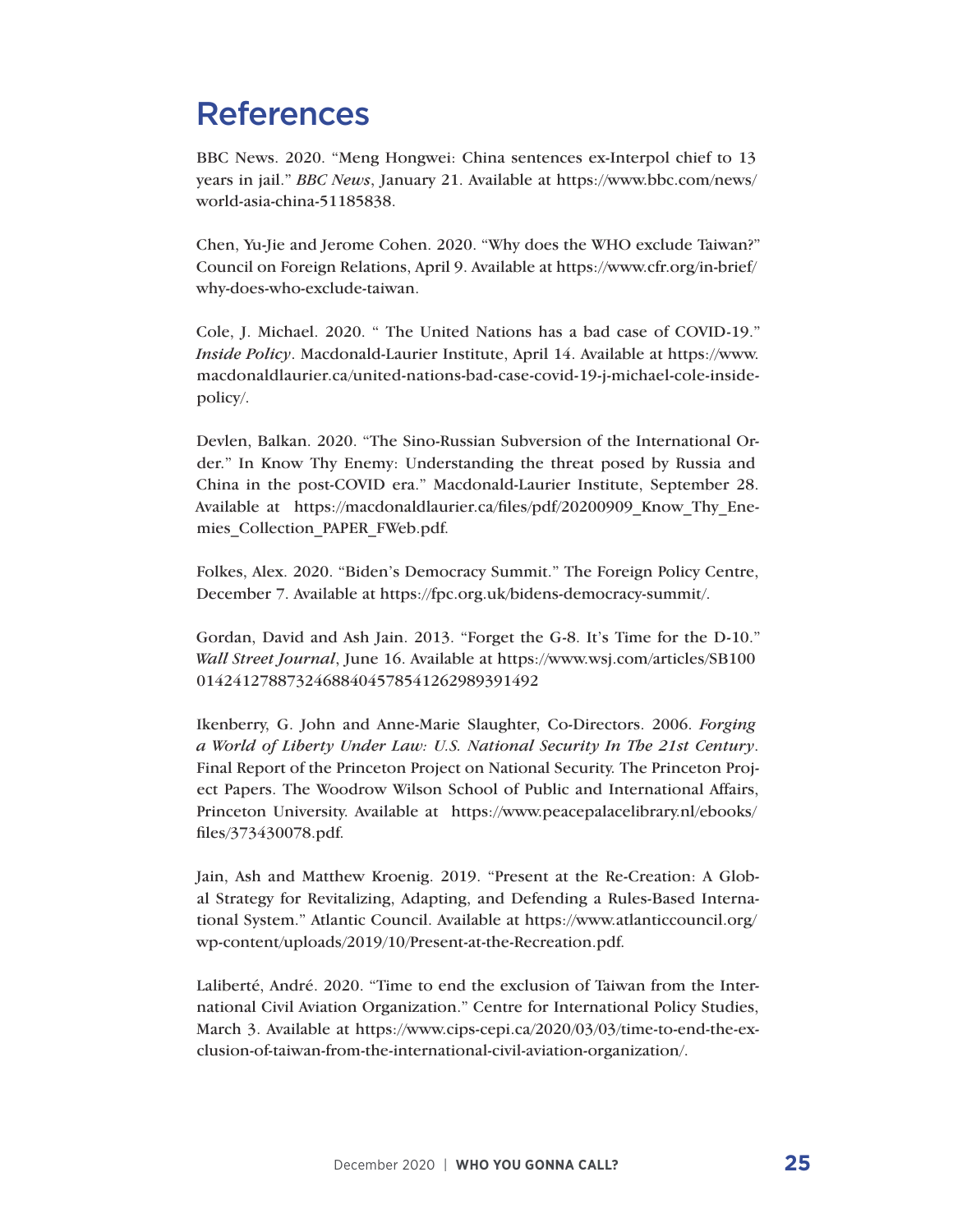## References

BBC News. 2020. "Meng Hongwei: China sentences ex-Interpol chief to 13 years in jail." *BBC News*, January 21. Available at https://www.bbc.com/news/ world-asia-china-51185838.

Chen, Yu-Jie and Jerome Cohen. 2020. "Why does the WHO exclude Taiwan?" Council on Foreign Relations, April 9. Available at https://www.cfr.org/in-brief/ why-does-who-exclude-taiwan.

Cole, J. Michael. 2020. " The United Nations has a bad case of COVID-19." *Inside Policy*. Macdonald-Laurier Institute, April 14. Available at https://www. macdonaldlaurier.ca/united-nations-bad-case-covid-19-j-michael-cole-insidepolicy/.

Devlen, Balkan. 2020. "The Sino-Russian Subversion of the International Order." In Know Thy Enemy: Understanding the threat posed by Russia and China in the post-COVID era." Macdonald-Laurier Institute, September 28. Available at https://macdonaldlaurier.ca/files/pdf/20200909 Know Thy Enemies\_Collection\_PAPER\_FWeb.pdf.

Folkes, Alex. 2020. "Biden's Democracy Summit." The Foreign Policy Centre, December 7. Available at https://fpc.org.uk/bidens-democracy-summit/.

Gordan, David and Ash Jain. 2013. "Forget the G-8. It's Time for the D-10." *Wall Street Journal*, June 16. Available at https://www.wsj.com/articles/SB100 01424127887324688404578541262989391492

Ikenberry, G. John and Anne-Marie Slaughter, Co-Directors. 2006. *Forging a World of Liberty Under Law: U.S. National Security In The 21st Century*. Final Report of the Princeton Project on National Security. The Princeton Project Papers. The Woodrow Wilson School of Public and International Affairs, Princeton University. Available at https://www.peacepalacelibrary.nl/ebooks/ files/373430078.pdf.

Jain, Ash and Matthew Kroenig. 2019. "Present at the Re-Creation: A Global Strategy for Revitalizing, Adapting, and Defending a Rules-Based International System." Atlantic Council. Available at https://www.atlanticcouncil.org/ wp-content/uploads/2019/10/Present-at-the-Recreation.pdf.

Laliberté, André. 2020. "Time to end the exclusion of Taiwan from the International Civil Aviation Organization." Centre for International Policy Studies, March 3. Available at https://www.cips-cepi.ca/2020/03/03/time-to-end-the-exclusion-of-taiwan-from-the-international-civil-aviation-organization/.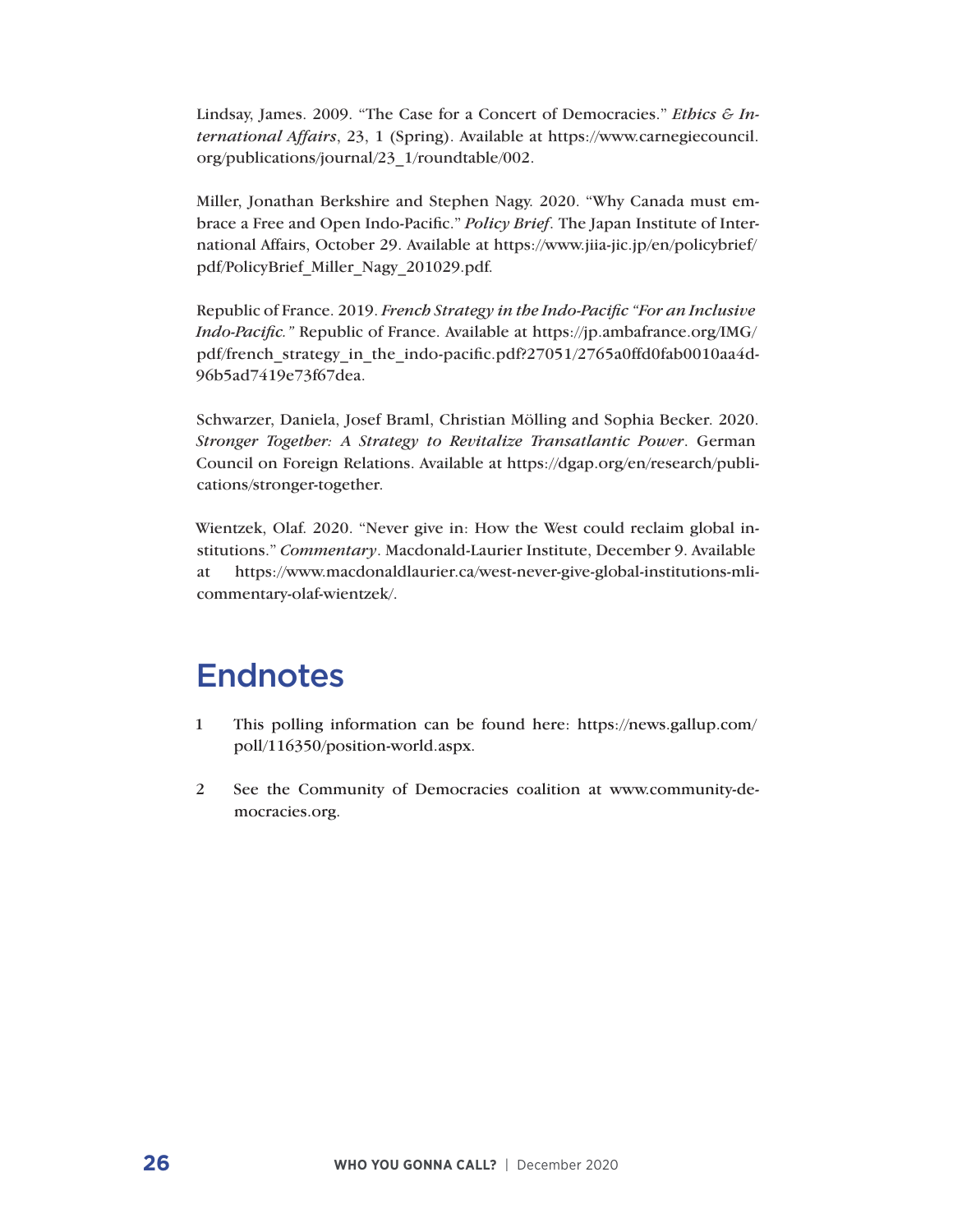Lindsay, James. 2009. "The Case for a Concert of Democracies." *Ethics & International Affairs*, 23, 1 (Spring). Available at https://www.carnegiecouncil. org/publications/journal/23\_1/roundtable/002.

Miller, Jonathan Berkshire and Stephen Nagy. 2020. "Why Canada must embrace a Free and Open Indo-Pacific." *Policy Brief*. The Japan Institute of International Affairs, October 29. Available at https://www.jiia-jic.jp/en/policybrief/ pdf/PolicyBrief\_Miller\_Nagy\_201029.pdf.

Republic of France. 2019. *French Strategy in the Indo-Pacific "For an Inclusive Indo-Pacific."* Republic of France. Available at https://jp.ambafrance.org/IMG/ pdf/french\_strategy\_in\_the\_indo-pacific.pdf?27051/2765a0ffd0fab0010aa4d-96b5ad7419e73f67dea.

Schwarzer, Daniela, Josef Braml, Christian Mölling and Sophia Becker. 2020. *Stronger Together: A Strategy to Revitalize Transatlantic Power*. German Council on Foreign Relations. Available at https://dgap.org/en/research/publications/stronger-together.

Wientzek, Olaf. 2020. "Never give in: How the West could reclaim global institutions." *Commentary*. Macdonald-Laurier Institute, December 9. Available at https://www.macdonaldlaurier.ca/west-never-give-global-institutions-mlicommentary-olaf-wientzek/.

## **Endnotes**

- 1 This polling information can be found here: https://news.gallup.com/ poll/116350/position-world.aspx.
- 2 See the Community of Democracies coalition at www.community-democracies.org.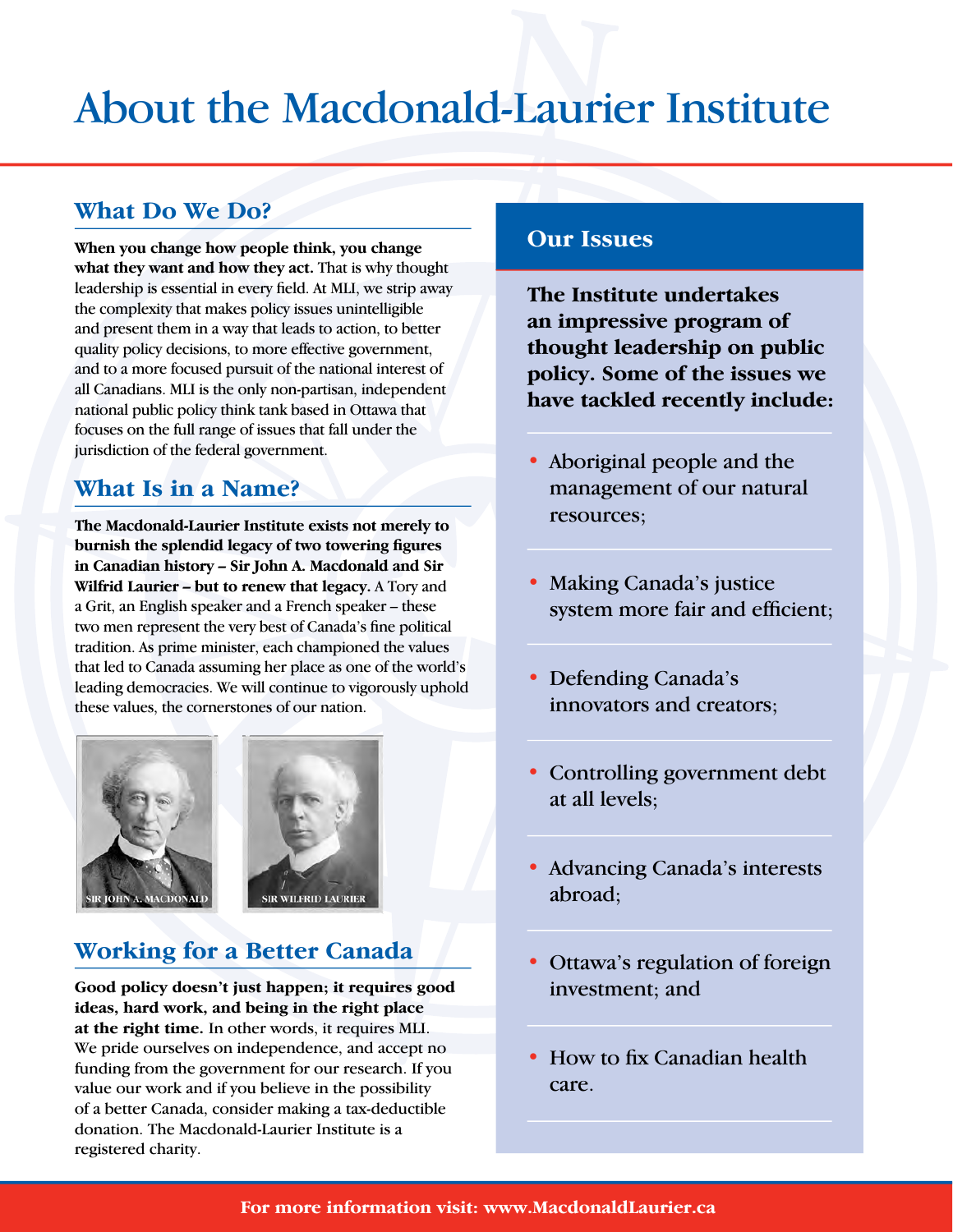# About the Macdonald-Laurier Institute

#### **What Do We Do?**

**When you change how people think, you change what they want and how they act.** That is why thought leadership is essential in every field. At MLI, we strip away the complexity that makes policy issues unintelligible and present them in a way that leads to action, to better quality policy decisions, to more effective government, and to a more focused pursuit of the national interest of all Canadians. MLI is the only non-partisan, independent national public policy think tank based in Ottawa that focuses on the full range of issues that fall under the jurisdiction of the federal government.

#### **What Is in a Name?**

**The Macdonald-Laurier Institute exists not merely to burnish the splendid legacy of two towering figures in Canadian history – Sir John A. Macdonald and Sir Wilfrid Laurier – but to renew that legacy.** A Tory and a Grit, an English speaker and a French speaker – these two men represent the very best of Canada's fine political tradition. As prime minister, each championed the values that led to Canada assuming her place as one of the world's leading democracies. We will continue to vigorously uphold these values, the cornerstones of our nation.





### **Working for a Better Canada**

December 2020 | **WHO YOU GONNA CALL? 27 Good policy doesn't just happen; it requires good ideas, hard work, and being in the right place at the right time.** In other words, it requires MLI. We pride ourselves on independence, and accept no funding from the government for our research. If you value our work and if you believe in the possibility of a better Canada, consider making a tax-deductible donation. The Macdonald-Laurier Institute is a registered charity.

#### **Our Issues**

**The Institute undertakes an impressive program of thought leadership on public policy. Some of the issues we have tackled recently include:**

- Aboriginal people and the management of our natural resources;
- Making Canada's justice system more fair and efficient;
- Defending Canada's innovators and creators;
- Controlling government debt at all levels;
- Advancing Canada's interests abroad;
- Ottawa's regulation of foreign investment; and
- How to fix Canadian health care.